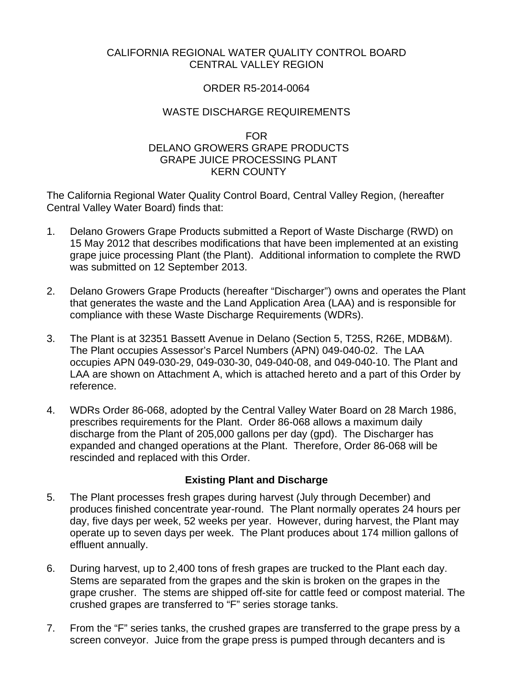# CALIFORNIA REGIONAL WATER QUALITY CONTROL BOARD CENTRAL VALLEY REGION

#### ORDER R5-2014-0064

#### WASTE DISCHARGE REQUIREMENTS

#### FOR DELANO GROWERS GRAPE PRODUCTS GRAPE JUICE PROCESSING PLANT KERN COUNTY

The California Regional Water Quality Control Board, Central Valley Region, (hereafter Central Valley Water Board) finds that:

- 1. Delano Growers Grape Products submitted a Report of Waste Discharge (RWD) on 15 May 2012 that describes modifications that have been implemented at an existing grape juice processing Plant (the Plant). Additional information to complete the RWD was submitted on 12 September 2013.
- 2. Delano Growers Grape Products (hereafter "Discharger") owns and operates the Plant that generates the waste and the Land Application Area (LAA) and is responsible for compliance with these Waste Discharge Requirements (WDRs).
- 3. The Plant is at 32351 Bassett Avenue in Delano (Section 5, T25S, R26E, MDB&M). The Plant occupies Assessor's Parcel Numbers (APN) 049-040-02. The LAA occupies APN 049-030-29, 049-030-30, 049-040-08, and 049-040-10. The Plant and LAA are shown on Attachment A, which is attached hereto and a part of this Order by reference.
- 4. WDRs Order 86-068, adopted by the Central Valley Water Board on 28 March 1986, prescribes requirements for the Plant. Order 86-068 allows a maximum daily discharge from the Plant of 205,000 gallons per day (gpd). The Discharger has expanded and changed operations at the Plant. Therefore, Order 86-068 will be rescinded and replaced with this Order.

# **Existing Plant and Discharge**

- 5. The Plant processes fresh grapes during harvest (July through December) and produces finished concentrate year-round. The Plant normally operates 24 hours per day, five days per week, 52 weeks per year. However, during harvest, the Plant may operate up to seven days per week. The Plant produces about 174 million gallons of effluent annually.
- 6. During harvest, up to 2,400 tons of fresh grapes are trucked to the Plant each day. Stems are separated from the grapes and the skin is broken on the grapes in the grape crusher. The stems are shipped off-site for cattle feed or compost material. The crushed grapes are transferred to "F" series storage tanks.
- 7. From the "F" series tanks, the crushed grapes are transferred to the grape press by a screen conveyor. Juice from the grape press is pumped through decanters and is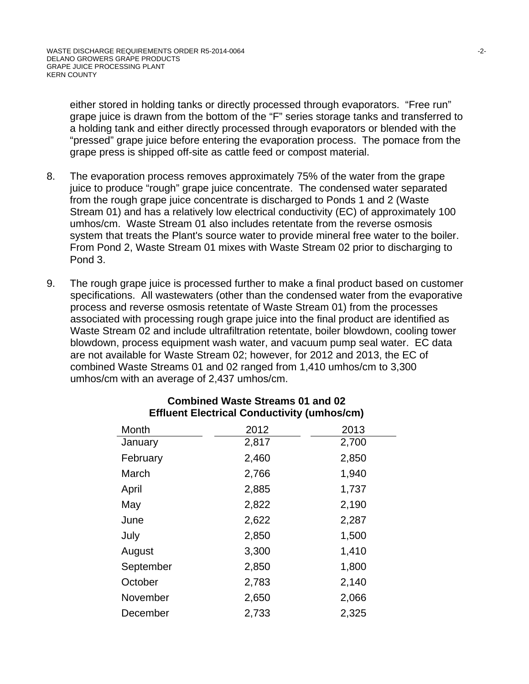either stored in holding tanks or directly processed through evaporators. "Free run" grape juice is drawn from the bottom of the "F" series storage tanks and transferred to a holding tank and either directly processed through evaporators or blended with the "pressed" grape juice before entering the evaporation process. The pomace from the grape press is shipped off-site as cattle feed or compost material.

- 8. The evaporation process removes approximately 75% of the water from the grape juice to produce "rough" grape juice concentrate. The condensed water separated from the rough grape juice concentrate is discharged to Ponds 1 and 2 (Waste Stream 01) and has a relatively low electrical conductivity (EC) of approximately 100 umhos/cm. Waste Stream 01 also includes retentate from the reverse osmosis system that treats the Plant's source water to provide mineral free water to the boiler. From Pond 2, Waste Stream 01 mixes with Waste Stream 02 prior to discharging to Pond 3.
- 9. The rough grape juice is processed further to make a final product based on customer specifications. All wastewaters (other than the condensed water from the evaporative process and reverse osmosis retentate of Waste Stream 01) from the processes associated with processing rough grape juice into the final product are identified as Waste Stream 02 and include ultrafiltration retentate, boiler blowdown, cooling tower blowdown, process equipment wash water, and vacuum pump seal water. EC data are not available for Waste Stream 02; however, for 2012 and 2013, the EC of combined Waste Streams 01 and 02 ranged from 1,410 umhos/cm to 3,300 umhos/cm with an average of 2,437 umhos/cm.

| Month     | 2012  | 2013  |
|-----------|-------|-------|
| January   | 2,817 | 2,700 |
| February  | 2,460 | 2,850 |
| March     | 2,766 | 1,940 |
| April     | 2,885 | 1,737 |
| May       | 2,822 | 2,190 |
| June      | 2,622 | 2,287 |
| July      | 2,850 | 1,500 |
| August    | 3,300 | 1,410 |
| September | 2,850 | 1,800 |
| October   | 2,783 | 2,140 |
| November  | 2,650 | 2,066 |
| December  | 2,733 | 2,325 |

# **Combined Waste Streams 01 and 02 Effluent Electrical Conductivity (umhos/cm)**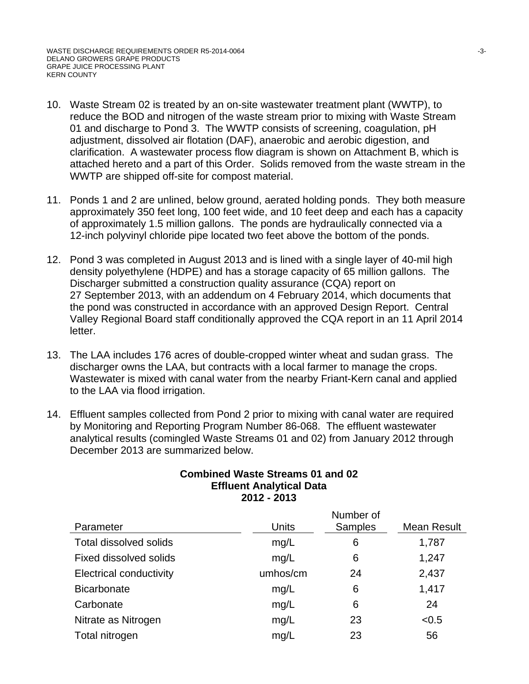- 10. Waste Stream 02 is treated by an on-site wastewater treatment plant (WWTP), to reduce the BOD and nitrogen of the waste stream prior to mixing with Waste Stream 01 and discharge to Pond 3. The WWTP consists of screening, coagulation, pH adjustment, dissolved air flotation (DAF), anaerobic and aerobic digestion, and clarification. A wastewater process flow diagram is shown on Attachment B, which is attached hereto and a part of this Order. Solids removed from the waste stream in the WWTP are shipped off-site for compost material.
- 11. Ponds 1 and 2 are unlined, below ground, aerated holding ponds. They both measure approximately 350 feet long, 100 feet wide, and 10 feet deep and each has a capacity of approximately 1.5 million gallons. The ponds are hydraulically connected via a 12-inch polyvinyl chloride pipe located two feet above the bottom of the ponds.
- 12. Pond 3 was completed in August 2013 and is lined with a single layer of 40-mil high density polyethylene (HDPE) and has a storage capacity of 65 million gallons. The Discharger submitted a construction quality assurance (CQA) report on 27 September 2013, with an addendum on 4 February 2014, which documents that the pond was constructed in accordance with an approved Design Report. Central Valley Regional Board staff conditionally approved the CQA report in an 11 April 2014 letter.
- 13. The LAA includes 176 acres of double-cropped winter wheat and sudan grass. The discharger owns the LAA, but contracts with a local farmer to manage the crops. Wastewater is mixed with canal water from the nearby Friant-Kern canal and applied to the LAA via flood irrigation.
- 14. Effluent samples collected from Pond 2 prior to mixing with canal water are required by Monitoring and Reporting Program Number 86-068. The effluent wastewater analytical results (comingled Waste Streams 01 and 02) from January 2012 through December 2013 are summarized below.

| Parameter                      | Units    | Number of<br><b>Samples</b> | Mean Result |
|--------------------------------|----------|-----------------------------|-------------|
| <b>Total dissolved solids</b>  | mg/L     | 6                           | 1,787       |
| Fixed dissolved solids         | mg/L     | 6                           | 1,247       |
| <b>Electrical conductivity</b> | umhos/cm | 24                          | 2,437       |
| <b>Bicarbonate</b>             | mg/L     | 6                           | 1,417       |
| Carbonate                      | mg/L     | 6                           | 24          |
| Nitrate as Nitrogen            | mg/L     | 23                          | < 0.5       |
| Total nitrogen                 | mg/L     | 23                          | 56          |

#### **Combined Waste Streams 01 and 02 Effluent Analytical Data 2012 - 2013**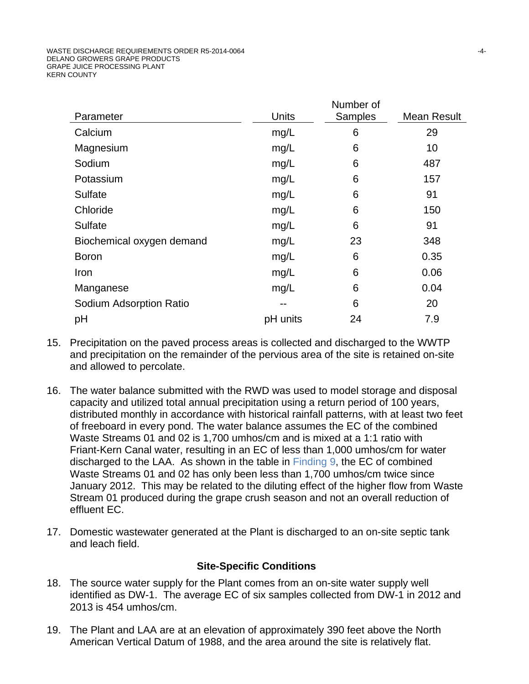|                           |          | Number of |             |
|---------------------------|----------|-----------|-------------|
| Parameter                 | Units    | Samples   | Mean Result |
| Calcium                   | mg/L     | 6         | 29          |
| Magnesium                 | mg/L     | 6         | 10          |
| Sodium                    | mg/L     | 6         | 487         |
| Potassium                 | mg/L     | 6         | 157         |
| <b>Sulfate</b>            | mg/L     | 6         | 91          |
| Chloride                  | mg/L     | 6         | 150         |
| Sulfate                   | mg/L     | 6         | 91          |
| Biochemical oxygen demand | mg/L     | 23        | 348         |
| <b>Boron</b>              | mg/L     | 6         | 0.35        |
| Iron                      | mg/L     | 6         | 0.06        |
| Manganese                 | mg/L     | 6         | 0.04        |
| Sodium Adsorption Ratio   |          | 6         | 20          |
| pH                        | pH units | 24        | 7.9         |
|                           |          |           |             |

- 15. Precipitation on the paved process areas is collected and discharged to the WWTP and precipitation on the remainder of the pervious area of the site is retained on-site and allowed to percolate.
- 16. The water balance submitted with the RWD was used to model storage and disposal capacity and utilized total annual precipitation using a return period of 100 years, distributed monthly in accordance with historical rainfall patterns, with at least two feet of freeboard in every pond. The water balance assumes the EC of the combined Waste Streams 01 and 02 is 1,700 umhos/cm and is mixed at a 1:1 ratio with Friant-Kern Canal water, resulting in an EC of less than 1,000 umhos/cm for water discharged to the LAA. As shown in the table in Finding 9, the EC of combined Waste Streams 01 and 02 has only been less than 1,700 umhos/cm twice since January 2012. This may be related to the diluting effect of the higher flow from Waste Stream 01 produced during the grape crush season and not an overall reduction of effluent EC.
- 17. Domestic wastewater generated at the Plant is discharged to an on-site septic tank and leach field.

# **Site-Specific Conditions**

- 18. The source water supply for the Plant comes from an on-site water supply well identified as DW-1. The average EC of six samples collected from DW-1 in 2012 and 2013 is 454 umhos/cm.
- 19. The Plant and LAA are at an elevation of approximately 390 feet above the North American Vertical Datum of 1988, and the area around the site is relatively flat.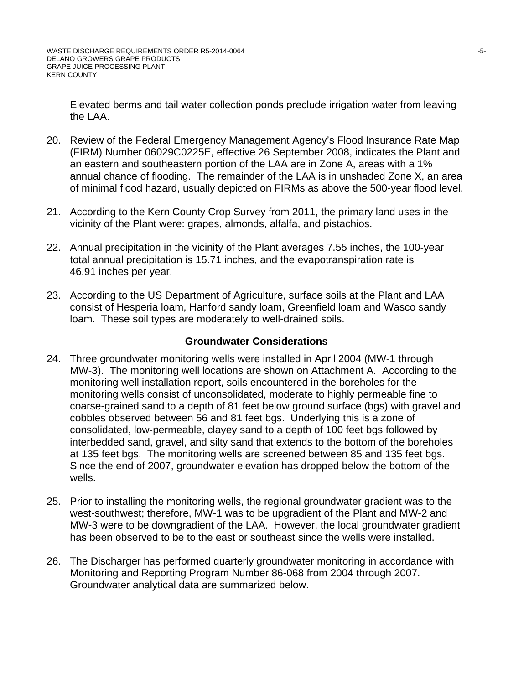Elevated berms and tail water collection ponds preclude irrigation water from leaving the LAA.

- 20. Review of the Federal Emergency Management Agency's Flood Insurance Rate Map (FIRM) Number 06029C0225E, effective 26 September 2008, indicates the Plant and an eastern and southeastern portion of the LAA are in Zone A, areas with a 1% annual chance of flooding. The remainder of the LAA is in unshaded Zone X, an area of minimal flood hazard, usually depicted on FIRMs as above the 500-year flood level.
- 21. According to the Kern County Crop Survey from 2011, the primary land uses in the vicinity of the Plant were: grapes, almonds, alfalfa, and pistachios.
- 22. Annual precipitation in the vicinity of the Plant averages 7.55 inches, the 100-year total annual precipitation is 15.71 inches, and the evapotranspiration rate is 46.91 inches per year.
- 23. According to the US Department of Agriculture, surface soils at the Plant and LAA consist of Hesperia loam, Hanford sandy loam, Greenfield loam and Wasco sandy loam. These soil types are moderately to well-drained soils.

#### **Groundwater Considerations**

- 24. Three groundwater monitoring wells were installed in April 2004 (MW-1 through MW-3). The monitoring well locations are shown on Attachment A. According to the monitoring well installation report, soils encountered in the boreholes for the monitoring wells consist of unconsolidated, moderate to highly permeable fine to coarse-grained sand to a depth of 81 feet below ground surface (bgs) with gravel and cobbles observed between 56 and 81 feet bgs. Underlying this is a zone of consolidated, low-permeable, clayey sand to a depth of 100 feet bgs followed by interbedded sand, gravel, and silty sand that extends to the bottom of the boreholes at 135 feet bgs. The monitoring wells are screened between 85 and 135 feet bgs. Since the end of 2007, groundwater elevation has dropped below the bottom of the wells.
- 25. Prior to installing the monitoring wells, the regional groundwater gradient was to the west-southwest; therefore, MW-1 was to be upgradient of the Plant and MW-2 and MW-3 were to be downgradient of the LAA. However, the local groundwater gradient has been observed to be to the east or southeast since the wells were installed.
- 26. The Discharger has performed quarterly groundwater monitoring in accordance with Monitoring and Reporting Program Number 86-068 from 2004 through 2007. Groundwater analytical data are summarized below.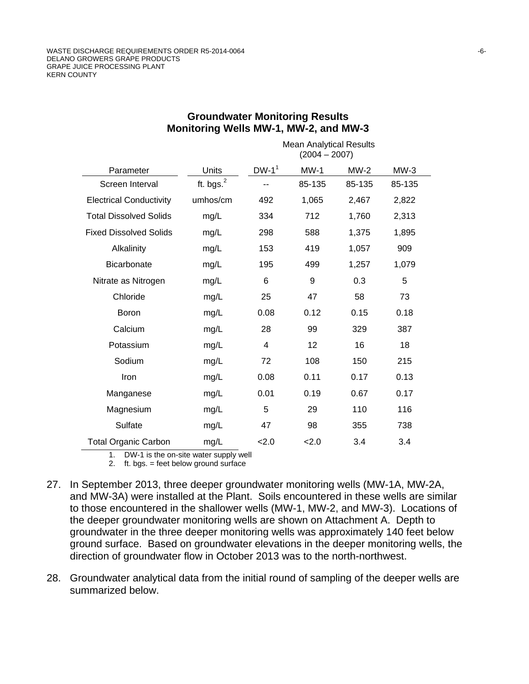|                                |              | <b>Mean Analytical Results</b><br>$(2004 - 2007)$ |        |        |        |  |
|--------------------------------|--------------|---------------------------------------------------|--------|--------|--------|--|
| Parameter                      | Units        | $DW-1^1$                                          | $MW-1$ | $MW-2$ | $MW-3$ |  |
| Screen Interval                | ft. bgs. $2$ |                                                   | 85-135 | 85-135 | 85-135 |  |
| <b>Electrical Conductivity</b> | umhos/cm     | 492                                               | 1,065  | 2,467  | 2,822  |  |
| <b>Total Dissolved Solids</b>  | mg/L         | 334                                               | 712    | 1,760  | 2,313  |  |
| <b>Fixed Dissolved Solids</b>  | mg/L         | 298                                               | 588    | 1,375  | 1,895  |  |
| Alkalinity                     | mg/L         | 153                                               | 419    | 1,057  | 909    |  |
| <b>Bicarbonate</b>             | mg/L         | 195                                               | 499    | 1,257  | 1,079  |  |
| Nitrate as Nitrogen            | mg/L         | 6                                                 | 9      | 0.3    | 5      |  |
| Chloride                       | mg/L         | 25                                                | 47     | 58     | 73     |  |
| Boron                          | mg/L         | 0.08                                              | 0.12   | 0.15   | 0.18   |  |
| Calcium                        | mg/L         | 28                                                | 99     | 329    | 387    |  |
| Potassium                      | mg/L         | 4                                                 | 12     | 16     | 18     |  |
| Sodium                         | mg/L         | 72                                                | 108    | 150    | 215    |  |
| Iron                           | mg/L         | 0.08                                              | 0.11   | 0.17   | 0.13   |  |
| Manganese                      | mg/L         | 0.01                                              | 0.19   | 0.67   | 0.17   |  |
| Magnesium                      | mg/L         | 5                                                 | 29     | 110    | 116    |  |
| Sulfate                        | mg/L         | 47                                                | 98     | 355    | 738    |  |
| <b>Total Organic Carbon</b>    | mg/L         | 2.0                                               | 2.0    | 3.4    | 3.4    |  |

#### **Groundwater Monitoring Results Monitoring Wells MW-1, MW-2, and MW-3**

1. DW-1 is the on-site water supply well

- 2. ft. bgs. = feet below ground surface
- 27. In September 2013, three deeper groundwater monitoring wells (MW-1A, MW-2A, and MW-3A) were installed at the Plant. Soils encountered in these wells are similar to those encountered in the shallower wells (MW-1, MW-2, and MW-3). Locations of the deeper groundwater monitoring wells are shown on Attachment A. Depth to groundwater in the three deeper monitoring wells was approximately 140 feet below ground surface. Based on groundwater elevations in the deeper monitoring wells, the direction of groundwater flow in October 2013 was to the north-northwest.
- 28. Groundwater analytical data from the initial round of sampling of the deeper wells are summarized below.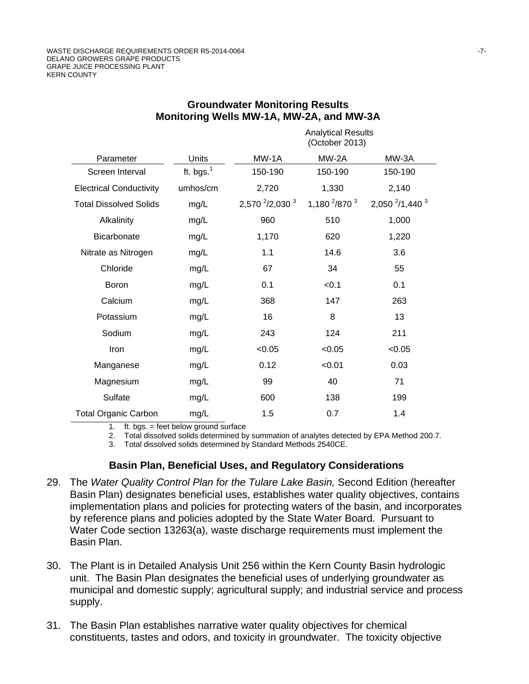|                                |              |                            | <b>Analytical Results</b><br>(October 2013) |                                        |
|--------------------------------|--------------|----------------------------|---------------------------------------------|----------------------------------------|
| Parameter                      | Units        | MW-1A                      | MW-2A                                       | MW-3A                                  |
| Screen Interval                | ft. bgs. $1$ | 150-190                    | 150-190                                     | 150-190                                |
| <b>Electrical Conductivity</b> | umhos/cm     | 2,720                      | 1,330                                       | 2,140                                  |
| <b>Total Dissolved Solids</b>  | mg/L         | 2,570 $^{2}/2$ ,030 $^{3}$ | 1,180 $^{2}/870^{3}$                        | 2,050 <sup>2</sup> /1,440 <sup>3</sup> |
| Alkalinity                     | mg/L         | 960                        | 510                                         | 1,000                                  |
| <b>Bicarbonate</b>             | mg/L         | 1,170                      | 620                                         | 1,220                                  |
| Nitrate as Nitrogen            | mg/L         | 1.1                        | 14.6                                        | 3.6                                    |
| Chloride                       | mg/L         | 67                         | 34                                          | 55                                     |
| <b>Boron</b>                   | mg/L         | 0.1                        | < 0.1                                       | 0.1                                    |
| Calcium                        | mg/L         | 368                        | 147                                         | 263                                    |
| Potassium                      | mg/L         | 16                         | 8                                           | 13                                     |
| Sodium                         | mg/L         | 243                        | 124                                         | 211                                    |
| Iron                           | mg/L         | < 0.05                     | < 0.05                                      | < 0.05                                 |
| Manganese                      | mg/L         | 0.12                       | < 0.01                                      | 0.03                                   |
| Magnesium                      | mg/L         | 99                         | 40                                          | 71                                     |
| Sulfate                        | mg/L         | 600                        | 138                                         | 199                                    |
| <b>Total Organic Carbon</b>    | mg/L         | 1.5                        | 0.7                                         | 1.4                                    |

#### **Groundwater Monitoring Results Monitoring Wells MW-1A, MW-2A, and MW-3A**

1. ft. bgs. = feet below ground surface

2. Total dissolved solids determined by summation of analytes detected by EPA Method 200.7.

3. Total dissolved solids determined by Standard Methods 2540CE.

#### **Basin Plan, Beneficial Uses, and Regulatory Considerations**

- 29. The *Water Quality Control Plan for the Tulare Lake Basin,* Second Edition (hereafter Basin Plan) designates beneficial uses, establishes water quality objectives, contains implementation plans and policies for protecting waters of the basin, and incorporates by reference plans and policies adopted by the State Water Board. Pursuant to Water Code section 13263(a), waste discharge requirements must implement the Basin Plan.
- 30. The Plant is in Detailed Analysis Unit 256 within the Kern County Basin hydrologic unit. The Basin Plan designates the beneficial uses of underlying groundwater as municipal and domestic supply; agricultural supply; and industrial service and process supply.
- 31. The Basin Plan establishes narrative water quality objectives for chemical constituents, tastes and odors, and toxicity in groundwater. The toxicity objective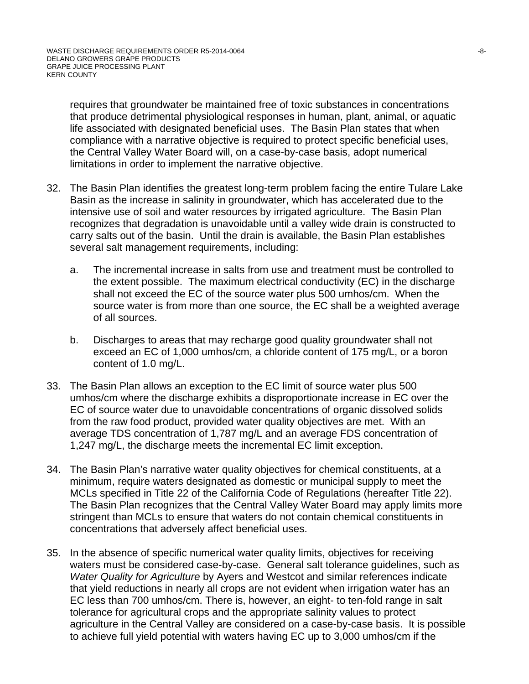requires that groundwater be maintained free of toxic substances in concentrations that produce detrimental physiological responses in human, plant, animal, or aquatic life associated with designated beneficial uses. The Basin Plan states that when compliance with a narrative objective is required to protect specific beneficial uses, the Central Valley Water Board will, on a case-by-case basis, adopt numerical limitations in order to implement the narrative objective.

- 32. The Basin Plan identifies the greatest long-term problem facing the entire Tulare Lake Basin as the increase in salinity in groundwater, which has accelerated due to the intensive use of soil and water resources by irrigated agriculture. The Basin Plan recognizes that degradation is unavoidable until a valley wide drain is constructed to carry salts out of the basin. Until the drain is available, the Basin Plan establishes several salt management requirements, including:
	- a. The incremental increase in salts from use and treatment must be controlled to the extent possible. The maximum electrical conductivity (EC) in the discharge shall not exceed the EC of the source water plus 500 umhos/cm. When the source water is from more than one source, the EC shall be a weighted average of all sources.
	- b. Discharges to areas that may recharge good quality groundwater shall not exceed an EC of 1,000 umhos/cm, a chloride content of 175 mg/L, or a boron content of 1.0 mg/L.
- 33. The Basin Plan allows an exception to the EC limit of source water plus 500 umhos/cm where the discharge exhibits a disproportionate increase in EC over the EC of source water due to unavoidable concentrations of organic dissolved solids from the raw food product, provided water quality objectives are met. With an average TDS concentration of 1,787 mg/L and an average FDS concentration of 1,247 mg/L, the discharge meets the incremental EC limit exception.
- 34. The Basin Plan's narrative water quality objectives for chemical constituents, at a minimum, require waters designated as domestic or municipal supply to meet the MCLs specified in Title 22 of the California Code of Regulations (hereafter Title 22). The Basin Plan recognizes that the Central Valley Water Board may apply limits more stringent than MCLs to ensure that waters do not contain chemical constituents in concentrations that adversely affect beneficial uses.
- 35. In the absence of specific numerical water quality limits, objectives for receiving waters must be considered case-by-case. General salt tolerance guidelines, such as *Water Quality for Agriculture* by Ayers and Westcot and similar references indicate that yield reductions in nearly all crops are not evident when irrigation water has an EC less than 700 umhos/cm. There is, however, an eight- to ten-fold range in salt tolerance for agricultural crops and the appropriate salinity values to protect agriculture in the Central Valley are considered on a case-by-case basis. It is possible to achieve full yield potential with waters having EC up to 3,000 umhos/cm if the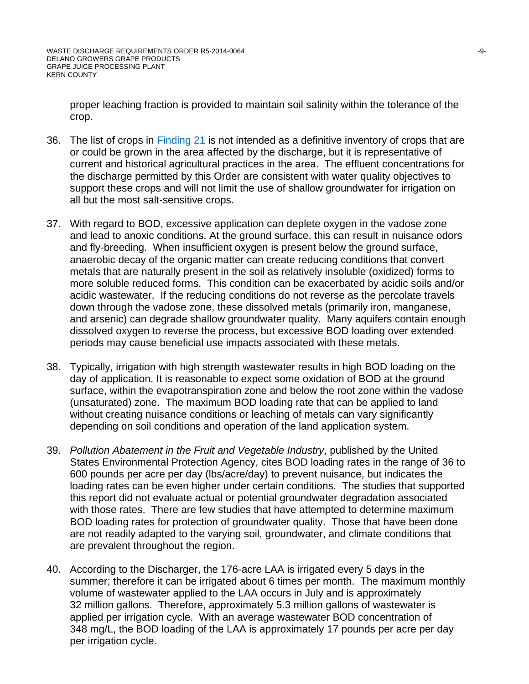proper leaching fraction is provided to maintain soil salinity within the tolerance of the crop.

- 36. The list of crops in Finding 21 is not intended as a definitive inventory of crops that are or could be grown in the area affected by the discharge, but it is representative of current and historical agricultural practices in the area. The effluent concentrations for the discharge permitted by this Order are consistent with water quality objectives to support these crops and will not limit the use of shallow groundwater for irrigation on all but the most salt-sensitive crops.
- 37. With regard to BOD, excessive application can deplete oxygen in the vadose zone and lead to anoxic conditions. At the ground surface, this can result in nuisance odors and fly-breeding. When insufficient oxygen is present below the ground surface, anaerobic decay of the organic matter can create reducing conditions that convert metals that are naturally present in the soil as relatively insoluble (oxidized) forms to more soluble reduced forms. This condition can be exacerbated by acidic soils and/or acidic wastewater. If the reducing conditions do not reverse as the percolate travels down through the vadose zone, these dissolved metals (primarily iron, manganese, and arsenic) can degrade shallow groundwater quality. Many aquifers contain enough dissolved oxygen to reverse the process, but excessive BOD loading over extended periods may cause beneficial use impacts associated with these metals.
- 38. Typically, irrigation with high strength wastewater results in high BOD loading on the day of application. It is reasonable to expect some oxidation of BOD at the ground surface, within the evapotranspiration zone and below the root zone within the vadose (unsaturated) zone. The maximum BOD loading rate that can be applied to land without creating nuisance conditions or leaching of metals can vary significantly depending on soil conditions and operation of the land application system.
- 39. *Pollution Abatement in the Fruit and Vegetable Industry*, published by the United States Environmental Protection Agency, cites BOD loading rates in the range of 36 to 600 pounds per acre per day (lbs/acre/day) to prevent nuisance, but indicates the loading rates can be even higher under certain conditions. The studies that supported this report did not evaluate actual or potential groundwater degradation associated with those rates. There are few studies that have attempted to determine maximum BOD loading rates for protection of groundwater quality. Those that have been done are not readily adapted to the varying soil, groundwater, and climate conditions that are prevalent throughout the region.
- 40. According to the Discharger, the 176-acre LAA is irrigated every 5 days in the summer; therefore it can be irrigated about 6 times per month. The maximum monthly volume of wastewater applied to the LAA occurs in July and is approximately 32 million gallons. Therefore, approximately 5.3 million gallons of wastewater is applied per irrigation cycle. With an average wastewater BOD concentration of 348 mg/L, the BOD loading of the LAA is approximately 17 pounds per acre per day per irrigation cycle.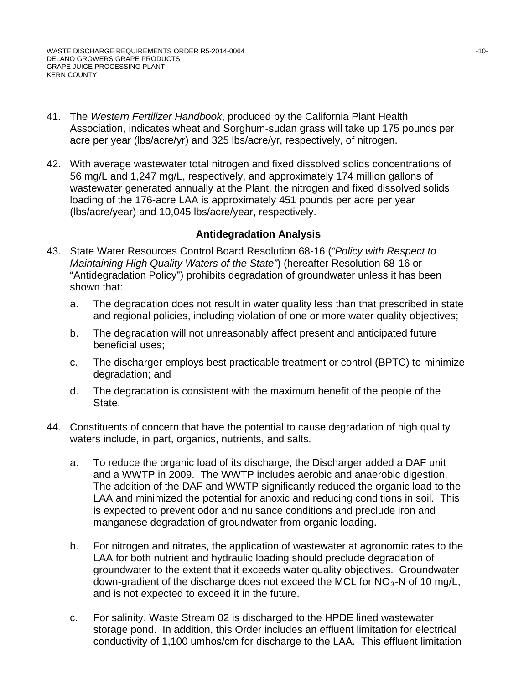- 41. The *Western Fertilizer Handbook*, produced by the California Plant Health Association, indicates wheat and Sorghum-sudan grass will take up 175 pounds per acre per year (lbs/acre/yr) and 325 lbs/acre/yr, respectively, of nitrogen.
- 42. With average wastewater total nitrogen and fixed dissolved solids concentrations of 56 mg/L and 1,247 mg/L, respectively, and approximately 174 million gallons of wastewater generated annually at the Plant, the nitrogen and fixed dissolved solids loading of the 176-acre LAA is approximately 451 pounds per acre per year (lbs/acre/year) and 10,045 lbs/acre/year, respectively.

#### **Antidegradation Analysis**

- 43. State Water Resources Control Board Resolution 68-16 (*"Policy with Respect to Maintaining High Quality Waters of the State"*) (hereafter Resolution 68-16 or "Antidegradation Policy") prohibits degradation of groundwater unless it has been shown that:
	- a. The degradation does not result in water quality less than that prescribed in state and regional policies, including violation of one or more water quality objectives;
	- b. The degradation will not unreasonably affect present and anticipated future beneficial uses;
	- c. The discharger employs best practicable treatment or control (BPTC) to minimize degradation; and
	- d. The degradation is consistent with the maximum benefit of the people of the State.
- 44. Constituents of concern that have the potential to cause degradation of high quality waters include, in part, organics, nutrients, and salts.
	- a. To reduce the organic load of its discharge, the Discharger added a DAF unit and a WWTP in 2009. The WWTP includes aerobic and anaerobic digestion. The addition of the DAF and WWTP significantly reduced the organic load to the LAA and minimized the potential for anoxic and reducing conditions in soil. This is expected to prevent odor and nuisance conditions and preclude iron and manganese degradation of groundwater from organic loading.
	- b. For nitrogen and nitrates, the application of wastewater at agronomic rates to the LAA for both nutrient and hydraulic loading should preclude degradation of groundwater to the extent that it exceeds water quality objectives. Groundwater down-gradient of the discharge does not exceed the MCL for  $NO<sub>3</sub>$ -N of 10 mg/L, and is not expected to exceed it in the future.
	- c. For salinity, Waste Stream 02 is discharged to the HPDE lined wastewater storage pond. In addition, this Order includes an effluent limitation for electrical conductivity of 1,100 umhos/cm for discharge to the LAA. This effluent limitation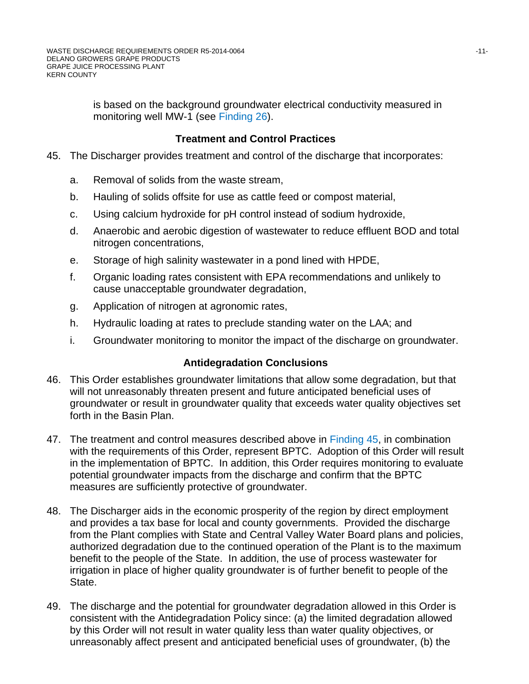is based on the background groundwater electrical conductivity measured in monitoring well MW-1 (see Finding 26).

# **Treatment and Control Practices**

- 45. The Discharger provides treatment and control of the discharge that incorporates:
	- a. Removal of solids from the waste stream,
	- b. Hauling of solids offsite for use as cattle feed or compost material,
	- c. Using calcium hydroxide for pH control instead of sodium hydroxide,
	- d. Anaerobic and aerobic digestion of wastewater to reduce effluent BOD and total nitrogen concentrations,
	- e. Storage of high salinity wastewater in a pond lined with HPDE,
	- f. Organic loading rates consistent with EPA recommendations and unlikely to cause unacceptable groundwater degradation,
	- g. Application of nitrogen at agronomic rates,
	- h. Hydraulic loading at rates to preclude standing water on the LAA; and
	- i. Groundwater monitoring to monitor the impact of the discharge on groundwater.

# **Antidegradation Conclusions**

- 46. This Order establishes groundwater limitations that allow some degradation, but that will not unreasonably threaten present and future anticipated beneficial uses of groundwater or result in groundwater quality that exceeds water quality objectives set forth in the Basin Plan.
- 47. The treatment and control measures described above in Finding 45, in combination with the requirements of this Order, represent BPTC. Adoption of this Order will result in the implementation of BPTC. In addition, this Order requires monitoring to evaluate potential groundwater impacts from the discharge and confirm that the BPTC measures are sufficiently protective of groundwater.
- 48. The Discharger aids in the economic prosperity of the region by direct employment and provides a tax base for local and county governments. Provided the discharge from the Plant complies with State and Central Valley Water Board plans and policies, authorized degradation due to the continued operation of the Plant is to the maximum benefit to the people of the State. In addition, the use of process wastewater for irrigation in place of higher quality groundwater is of further benefit to people of the State.
- 49. The discharge and the potential for groundwater degradation allowed in this Order is consistent with the Antidegradation Policy since: (a) the limited degradation allowed by this Order will not result in water quality less than water quality objectives, or unreasonably affect present and anticipated beneficial uses of groundwater, (b) the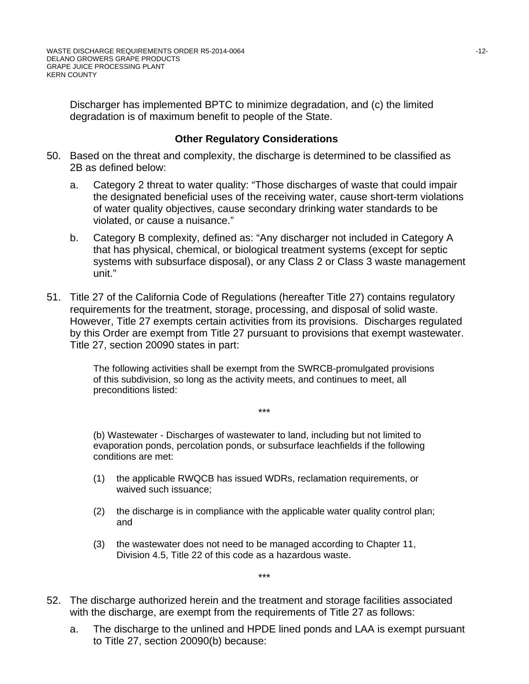Discharger has implemented BPTC to minimize degradation, and (c) the limited degradation is of maximum benefit to people of the State.

#### **Other Regulatory Considerations**

- 50. Based on the threat and complexity, the discharge is determined to be classified as 2B as defined below:
	- a. Category 2 threat to water quality: "Those discharges of waste that could impair the designated beneficial uses of the receiving water, cause short-term violations of water quality objectives, cause secondary drinking water standards to be violated, or cause a nuisance."
	- b. Category B complexity, defined as: "Any discharger not included in Category A that has physical, chemical, or biological treatment systems (except for septic systems with subsurface disposal), or any Class 2 or Class 3 waste management unit."
- 51. Title 27 of the California Code of Regulations (hereafter Title 27) contains regulatory requirements for the treatment, storage, processing, and disposal of solid waste. However, Title 27 exempts certain activities from its provisions. Discharges regulated by this Order are exempt from Title 27 pursuant to provisions that exempt wastewater. Title 27, section 20090 states in part:

The following activities shall be exempt from the SWRCB-promulgated provisions of this subdivision, so long as the activity meets, and continues to meet, all preconditions listed:

\*\*\*

(b) Wastewater - Discharges of wastewater to land, including but not limited to evaporation ponds, percolation ponds, or subsurface leachfields if the following conditions are met:

- (1) the applicable RWQCB has issued WDRs, reclamation requirements, or waived such issuance;
- (2) the discharge is in compliance with the applicable water quality control plan; and

\*\*\*

- (3) the wastewater does not need to be managed according to Chapter 11, Division 4.5, Title 22 of this code as a hazardous waste.
- 52. The discharge authorized herein and the treatment and storage facilities associated with the discharge, are exempt from the requirements of Title 27 as follows:
	- a. The discharge to the unlined and HPDE lined ponds and LAA is exempt pursuant to Title 27, section 20090(b) because: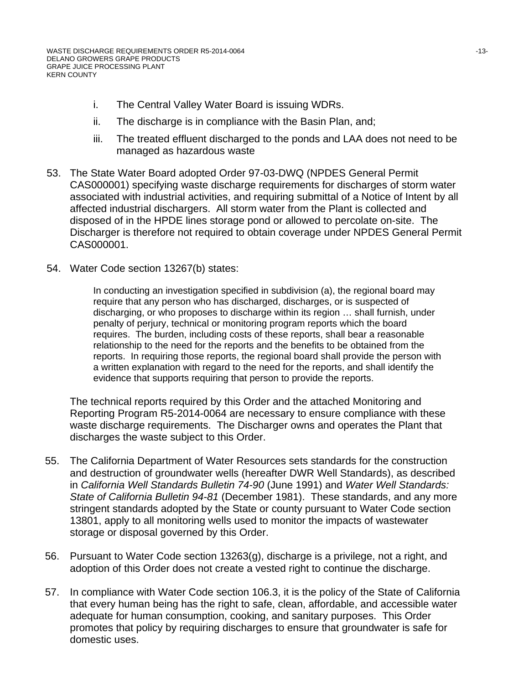- i. The Central Valley Water Board is issuing WDRs.
- ii. The discharge is in compliance with the Basin Plan, and;
- iii. The treated effluent discharged to the ponds and LAA does not need to be managed as hazardous waste
- 53. The State Water Board adopted Order 97-03-DWQ (NPDES General Permit CAS000001) specifying waste discharge requirements for discharges of storm water associated with industrial activities, and requiring submittal of a Notice of Intent by all affected industrial dischargers. All storm water from the Plant is collected and disposed of in the HPDE lines storage pond or allowed to percolate on-site. The Discharger is therefore not required to obtain coverage under NPDES General Permit CAS000001.
- 54. Water Code section 13267(b) states:

In conducting an investigation specified in subdivision (a), the regional board may require that any person who has discharged, discharges, or is suspected of discharging, or who proposes to discharge within its region … shall furnish, under penalty of perjury, technical or monitoring program reports which the board requires. The burden, including costs of these reports, shall bear a reasonable relationship to the need for the reports and the benefits to be obtained from the reports. In requiring those reports, the regional board shall provide the person with a written explanation with regard to the need for the reports, and shall identify the evidence that supports requiring that person to provide the reports.

The technical reports required by this Order and the attached Monitoring and Reporting Program R5-2014-0064 are necessary to ensure compliance with these waste discharge requirements. The Discharger owns and operates the Plant that discharges the waste subject to this Order.

- 55. The California Department of Water Resources sets standards for the construction and destruction of groundwater wells (hereafter DWR Well Standards), as described in *California Well Standards Bulletin 74-90* (June 1991) and *Water Well Standards: State of California Bulletin 94-81* (December 1981). These standards, and any more stringent standards adopted by the State or county pursuant to Water Code section 13801, apply to all monitoring wells used to monitor the impacts of wastewater storage or disposal governed by this Order.
- 56. Pursuant to Water Code section 13263(g), discharge is a privilege, not a right, and adoption of this Order does not create a vested right to continue the discharge.
- 57. In compliance with Water Code section 106.3, it is the policy of the State of California that every human being has the right to safe, clean, affordable, and accessible water adequate for human consumption, cooking, and sanitary purposes. This Order promotes that policy by requiring discharges to ensure that groundwater is safe for domestic uses.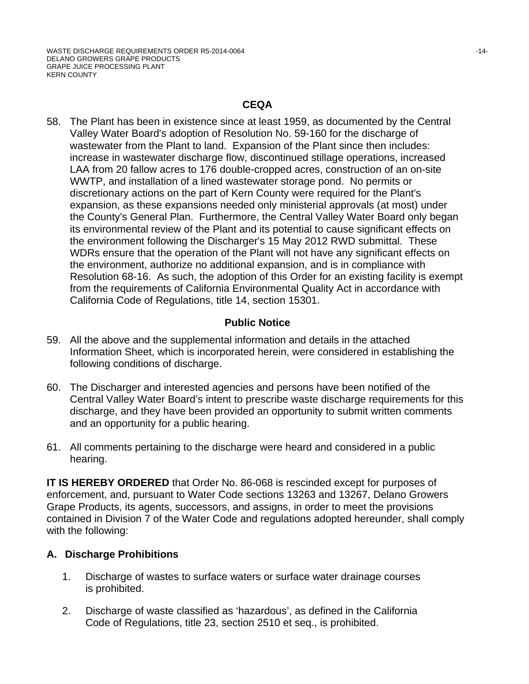#### **CEQA**

58. The Plant has been in existence since at least 1959, as documented by the Central Valley Water Board's adoption of Resolution No. 59-160 for the discharge of wastewater from the Plant to land. Expansion of the Plant since then includes: increase in wastewater discharge flow, discontinued stillage operations, increased LAA from 20 fallow acres to 176 double-cropped acres, construction of an on-site WWTP, and installation of a lined wastewater storage pond. No permits or discretionary actions on the part of Kern County were required for the Plant's expansion, as these expansions needed only ministerial approvals (at most) under the County's General Plan. Furthermore, the Central Valley Water Board only began its environmental review of the Plant and its potential to cause significant effects on the environment following the Discharger's 15 May 2012 RWD submittal. These WDRs ensure that the operation of the Plant will not have any significant effects on the environment, authorize no additional expansion, and is in compliance with Resolution 68-16. As such, the adoption of this Order for an existing facility is exempt from the requirements of California Environmental Quality Act in accordance with California Code of Regulations, title 14, section 15301.

#### **Public Notice**

- 59. All the above and the supplemental information and details in the attached Information Sheet, which is incorporated herein, were considered in establishing the following conditions of discharge.
- 60. The Discharger and interested agencies and persons have been notified of the Central Valley Water Board's intent to prescribe waste discharge requirements for this discharge, and they have been provided an opportunity to submit written comments and an opportunity for a public hearing.
- 61. All comments pertaining to the discharge were heard and considered in a public hearing.

**IT IS HEREBY ORDERED** that Order No. 86-068 is rescinded except for purposes of enforcement, and, pursuant to Water Code sections 13263 and 13267, Delano Growers Grape Products, its agents, successors, and assigns, in order to meet the provisions contained in Division 7 of the Water Code and regulations adopted hereunder, shall comply with the following:

# **A. Discharge Prohibitions**

- 1. Discharge of wastes to surface waters or surface water drainage courses is prohibited.
- 2. Discharge of waste classified as 'hazardous', as defined in the California Code of Regulations, title 23, section 2510 et seq., is prohibited.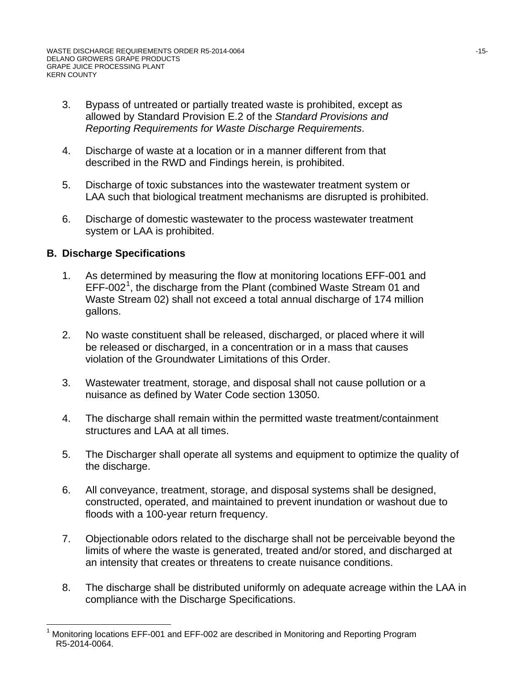- 3. Bypass of untreated or partially treated waste is prohibited, except as allowed by Standard Provision E.2 of the *Standard Provisions and Reporting Requirements for Waste Discharge Requirements*.
- 4. Discharge of waste at a location or in a manner different from that described in the RWD and Findings herein, is prohibited.
- 5. Discharge of toxic substances into the wastewater treatment system or LAA such that biological treatment mechanisms are disrupted is prohibited.
- 6. Discharge of domestic wastewater to the process wastewater treatment system or LAA is prohibited.

# **B. Discharge Specifications**

- 1. As determined by measuring the flow at monitoring locations EFF-001 and EFF-002<sup>[1](#page-14-0)</sup>, the discharge from the Plant (combined Waste Stream 01 and Waste Stream 02) shall not exceed a total annual discharge of 174 million gallons.
- 2. No waste constituent shall be released, discharged, or placed where it will be released or discharged, in a concentration or in a mass that causes violation of the Groundwater Limitations of this Order.
- 3. Wastewater treatment, storage, and disposal shall not cause pollution or a nuisance as defined by Water Code section 13050.
- 4. The discharge shall remain within the permitted waste treatment/containment structures and LAA at all times.
- 5. The Discharger shall operate all systems and equipment to optimize the quality of the discharge.
- 6. All conveyance, treatment, storage, and disposal systems shall be designed, constructed, operated, and maintained to prevent inundation or washout due to floods with a 100-year return frequency.
- 7. Objectionable odors related to the discharge shall not be perceivable beyond the limits of where the waste is generated, treated and/or stored, and discharged at an intensity that creates or threatens to create nuisance conditions.
- 8. The discharge shall be distributed uniformly on adequate acreage within the LAA in compliance with the Discharge Specifications.

<span id="page-14-0"></span> <sup>1</sup> Monitoring locations EFF-001 and EFF-002 are described in Monitoring and Reporting Program R5-2014-0064.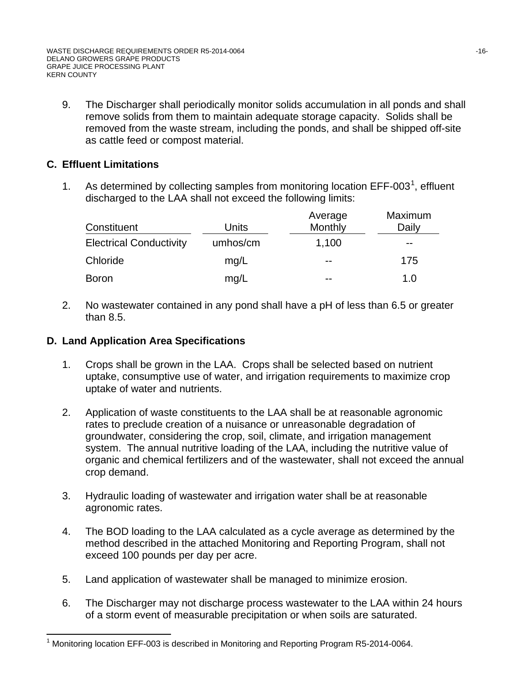9. The Discharger shall periodically monitor solids accumulation in all ponds and shall remove solids from them to maintain adequate storage capacity. Solids shall be removed from the waste stream, including the ponds, and shall be shipped off-site as cattle feed or compost material.

# **C. Effluent Limitations**

[1](#page-15-0). As determined by collecting samples from monitoring location  $EFF-003<sup>1</sup>$ , effluent discharged to the LAA shall not exceed the following limits:

| Constituent                    | Units    | Average<br>Monthly | Maximum<br>Daily |
|--------------------------------|----------|--------------------|------------------|
| <b>Electrical Conductivity</b> | umhos/cm | 1,100              | $- -$            |
| Chloride                       | mq/L     | $- -$              | 175              |
| <b>Boron</b>                   | mg/L     | --                 | 1.0              |

2. No wastewater contained in any pond shall have a pH of less than 6.5 or greater than 8.5.

# **D. Land Application Area Specifications**

- 1. Crops shall be grown in the LAA. Crops shall be selected based on nutrient uptake, consumptive use of water, and irrigation requirements to maximize crop uptake of water and nutrients.
- 2. Application of waste constituents to the LAA shall be at reasonable agronomic rates to preclude creation of a nuisance or unreasonable degradation of groundwater, considering the crop, soil, climate, and irrigation management system. The annual nutritive loading of the LAA, including the nutritive value of organic and chemical fertilizers and of the wastewater, shall not exceed the annual crop demand.
- 3. Hydraulic loading of wastewater and irrigation water shall be at reasonable agronomic rates.
- 4. The BOD loading to the LAA calculated as a cycle average as determined by the method described in the attached Monitoring and Reporting Program, shall not exceed 100 pounds per day per acre.
- 5. Land application of wastewater shall be managed to minimize erosion.
- 6. The Discharger may not discharge process wastewater to the LAA within 24 hours of a storm event of measurable precipitation or when soils are saturated.

<span id="page-15-0"></span> $\overline{\phantom{a}}$ 1 Monitoring location EFF-003 is described in Monitoring and Reporting Program R5-2014-0064.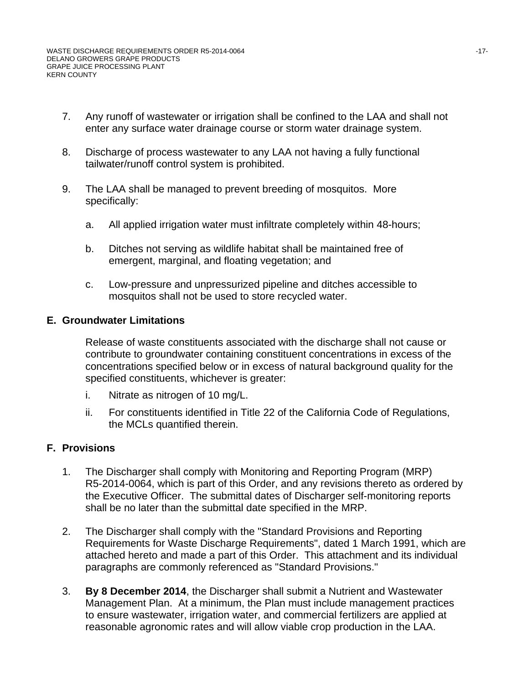- 7. Any runoff of wastewater or irrigation shall be confined to the LAA and shall not enter any surface water drainage course or storm water drainage system.
- 8. Discharge of process wastewater to any LAA not having a fully functional tailwater/runoff control system is prohibited.
- 9. The LAA shall be managed to prevent breeding of mosquitos. More specifically:
	- a. All applied irrigation water must infiltrate completely within 48-hours;
	- b. Ditches not serving as wildlife habitat shall be maintained free of emergent, marginal, and floating vegetation; and
	- c. Low-pressure and unpressurized pipeline and ditches accessible to mosquitos shall not be used to store recycled water.

#### **E. Groundwater Limitations**

Release of waste constituents associated with the discharge shall not cause or contribute to groundwater containing constituent concentrations in excess of the concentrations specified below or in excess of natural background quality for the specified constituents, whichever is greater:

- i. Nitrate as nitrogen of 10 mg/L.
- ii. For constituents identified in Title 22 of the California Code of Regulations, the MCLs quantified therein.

# **F. Provisions**

- 1. The Discharger shall comply with Monitoring and Reporting Program (MRP) R5-2014-0064, which is part of this Order, and any revisions thereto as ordered by the Executive Officer. The submittal dates of Discharger self-monitoring reports shall be no later than the submittal date specified in the MRP.
- 2. The Discharger shall comply with the "Standard Provisions and Reporting Requirements for Waste Discharge Requirements", dated 1 March 1991, which are attached hereto and made a part of this Order. This attachment and its individual paragraphs are commonly referenced as "Standard Provisions."
- 3. **By 8 December 2014**, the Discharger shall submit a Nutrient and Wastewater Management Plan. At a minimum, the Plan must include management practices to ensure wastewater, irrigation water, and commercial fertilizers are applied at reasonable agronomic rates and will allow viable crop production in the LAA.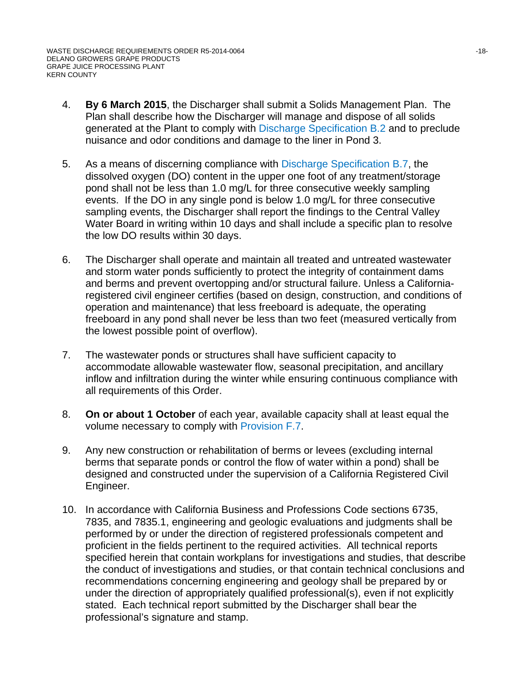- 4. **By 6 March 2015**, the Discharger shall submit a Solids Management Plan. The Plan shall describe how the Discharger will manage and dispose of all solids generated at the Plant to comply with Discharge Specification B.2 and to preclude nuisance and odor conditions and damage to the liner in Pond 3.
- 5. As a means of discerning compliance with Discharge Specification B.7, the dissolved oxygen (DO) content in the upper one foot of any treatment/storage pond shall not be less than 1.0 mg/L for three consecutive weekly sampling events. If the DO in any single pond is below 1.0 mg/L for three consecutive sampling events, the Discharger shall report the findings to the Central Valley Water Board in writing within 10 days and shall include a specific plan to resolve the low DO results within 30 days.
- 6. The Discharger shall operate and maintain all treated and untreated wastewater and storm water ponds sufficiently to protect the integrity of containment dams and berms and prevent overtopping and/or structural failure. Unless a Californiaregistered civil engineer certifies (based on design, construction, and conditions of operation and maintenance) that less freeboard is adequate, the operating freeboard in any pond shall never be less than two feet (measured vertically from the lowest possible point of overflow).
- 7. The wastewater ponds or structures shall have sufficient capacity to accommodate allowable wastewater flow, seasonal precipitation, and ancillary inflow and infiltration during the winter while ensuring continuous compliance with all requirements of this Order.
- 8. **On or about 1 October** of each year, available capacity shall at least equal the volume necessary to comply with Provision F.7.
- 9. Any new construction or rehabilitation of berms or levees (excluding internal berms that separate ponds or control the flow of water within a pond) shall be designed and constructed under the supervision of a California Registered Civil Engineer.
- 10. In accordance with California Business and Professions Code sections 6735, 7835, and 7835.1, engineering and geologic evaluations and judgments shall be performed by or under the direction of registered professionals competent and proficient in the fields pertinent to the required activities. All technical reports specified herein that contain workplans for investigations and studies, that describe the conduct of investigations and studies, or that contain technical conclusions and recommendations concerning engineering and geology shall be prepared by or under the direction of appropriately qualified professional(s), even if not explicitly stated. Each technical report submitted by the Discharger shall bear the professional's signature and stamp.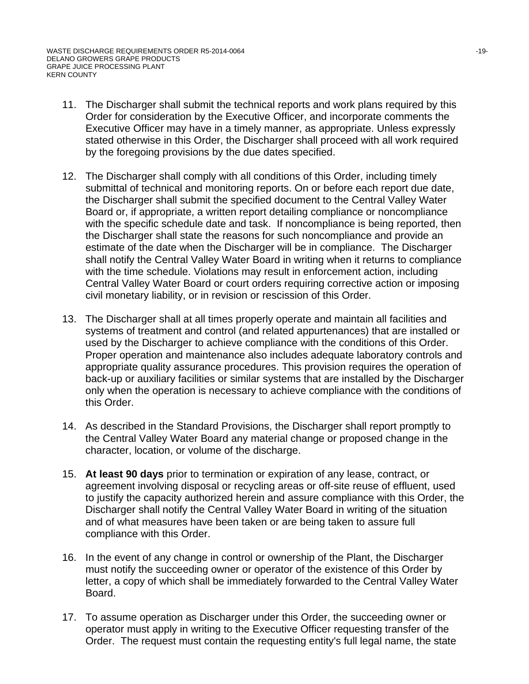- 11. The Discharger shall submit the technical reports and work plans required by this Order for consideration by the Executive Officer, and incorporate comments the Executive Officer may have in a timely manner, as appropriate. Unless expressly stated otherwise in this Order, the Discharger shall proceed with all work required by the foregoing provisions by the due dates specified.
- 12. The Discharger shall comply with all conditions of this Order, including timely submittal of technical and monitoring reports. On or before each report due date, the Discharger shall submit the specified document to the Central Valley Water Board or, if appropriate, a written report detailing compliance or noncompliance with the specific schedule date and task. If noncompliance is being reported, then the Discharger shall state the reasons for such noncompliance and provide an estimate of the date when the Discharger will be in compliance. The Discharger shall notify the Central Valley Water Board in writing when it returns to compliance with the time schedule. Violations may result in enforcement action, including Central Valley Water Board or court orders requiring corrective action or imposing civil monetary liability, or in revision or rescission of this Order.
- 13. The Discharger shall at all times properly operate and maintain all facilities and systems of treatment and control (and related appurtenances) that are installed or used by the Discharger to achieve compliance with the conditions of this Order. Proper operation and maintenance also includes adequate laboratory controls and appropriate quality assurance procedures. This provision requires the operation of back-up or auxiliary facilities or similar systems that are installed by the Discharger only when the operation is necessary to achieve compliance with the conditions of this Order.
- 14. As described in the Standard Provisions, the Discharger shall report promptly to the Central Valley Water Board any material change or proposed change in the character, location, or volume of the discharge.
- 15. **At least 90 days** prior to termination or expiration of any lease, contract, or agreement involving disposal or recycling areas or off-site reuse of effluent, used to justify the capacity authorized herein and assure compliance with this Order, the Discharger shall notify the Central Valley Water Board in writing of the situation and of what measures have been taken or are being taken to assure full compliance with this Order.
- 16. In the event of any change in control or ownership of the Plant, the Discharger must notify the succeeding owner or operator of the existence of this Order by letter, a copy of which shall be immediately forwarded to the Central Valley Water Board.
- 17. To assume operation as Discharger under this Order, the succeeding owner or operator must apply in writing to the Executive Officer requesting transfer of the Order. The request must contain the requesting entity's full legal name, the state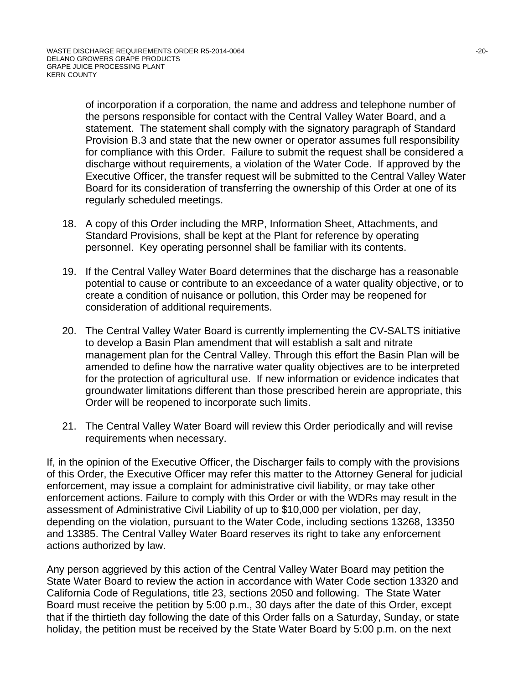of incorporation if a corporation, the name and address and telephone number of the persons responsible for contact with the Central Valley Water Board, and a statement. The statement shall comply with the signatory paragraph of Standard Provision B.3 and state that the new owner or operator assumes full responsibility for compliance with this Order. Failure to submit the request shall be considered a discharge without requirements, a violation of the Water Code. If approved by the Executive Officer, the transfer request will be submitted to the Central Valley Water Board for its consideration of transferring the ownership of this Order at one of its regularly scheduled meetings.

- 18. A copy of this Order including the MRP, Information Sheet, Attachments, and Standard Provisions, shall be kept at the Plant for reference by operating personnel. Key operating personnel shall be familiar with its contents.
- 19. If the Central Valley Water Board determines that the discharge has a reasonable potential to cause or contribute to an exceedance of a water quality objective, or to create a condition of nuisance or pollution, this Order may be reopened for consideration of additional requirements.
- 20. The Central Valley Water Board is currently implementing the CV-SALTS initiative to develop a Basin Plan amendment that will establish a salt and nitrate management plan for the Central Valley. Through this effort the Basin Plan will be amended to define how the narrative water quality objectives are to be interpreted for the protection of agricultural use. If new information or evidence indicates that groundwater limitations different than those prescribed herein are appropriate, this Order will be reopened to incorporate such limits.
- 21. The Central Valley Water Board will review this Order periodically and will revise requirements when necessary.

If, in the opinion of the Executive Officer, the Discharger fails to comply with the provisions of this Order, the Executive Officer may refer this matter to the Attorney General for judicial enforcement, may issue a complaint for administrative civil liability, or may take other enforcement actions. Failure to comply with this Order or with the WDRs may result in the assessment of Administrative Civil Liability of up to \$10,000 per violation, per day, depending on the violation, pursuant to the Water Code, including sections 13268, 13350 and 13385. The Central Valley Water Board reserves its right to take any enforcement actions authorized by law.

Any person aggrieved by this action of the Central Valley Water Board may petition the State Water Board to review the action in accordance with Water Code section 13320 and California Code of Regulations, title 23, sections 2050 and following. The State Water Board must receive the petition by 5:00 p.m., 30 days after the date of this Order, except that if the thirtieth day following the date of this Order falls on a Saturday, Sunday, or state holiday, the petition must be received by the State Water Board by 5:00 p.m. on the next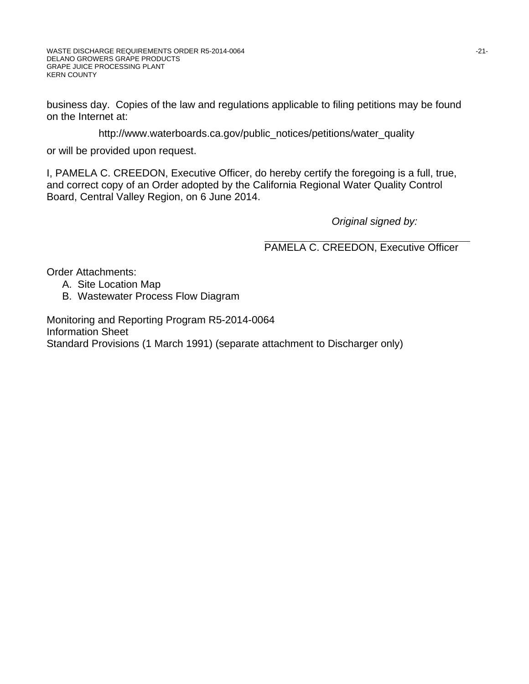business day. Copies of the law and regulations applicable to filing petitions may be found on the Internet at:

http://www.waterboards.ca.gov/public\_notices/petitions/water\_quality

or will be provided upon request.

I, PAMELA C. CREEDON, Executive Officer, do hereby certify the foregoing is a full, true, and correct copy of an Order adopted by the California Regional Water Quality Control Board, Central Valley Region, on 6 June 2014.

*Original signed by:*

PAMELA C. CREEDON, Executive Officer

Order Attachments:

- A. Site Location Map
- B. Wastewater Process Flow Diagram

Monitoring and Reporting Program R5-2014-0064 Information Sheet Standard Provisions (1 March 1991) (separate attachment to Discharger only)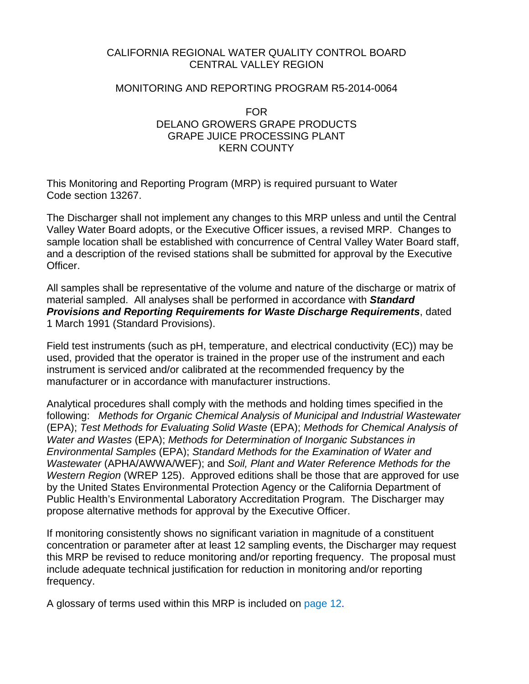#### CALIFORNIA REGIONAL WATER QUALITY CONTROL BOARD CENTRAL VALLEY REGION

#### MONITORING AND REPORTING PROGRAM R5-2014-0064

#### FOR DELANO GROWERS GRAPE PRODUCTS GRAPE JUICE PROCESSING PLANT KERN COUNTY

This Monitoring and Reporting Program (MRP) is required pursuant to Water Code section 13267.

The Discharger shall not implement any changes to this MRP unless and until the Central Valley Water Board adopts, or the Executive Officer issues, a revised MRP. Changes to sample location shall be established with concurrence of Central Valley Water Board staff, and a description of the revised stations shall be submitted for approval by the Executive Officer.

All samples shall be representative of the volume and nature of the discharge or matrix of material sampled. All analyses shall be performed in accordance with *Standard Provisions and Reporting Requirements for Waste Discharge Requirements*, dated 1 March 1991 (Standard Provisions).

Field test instruments (such as pH, temperature, and electrical conductivity (EC)) may be used, provided that the operator is trained in the proper use of the instrument and each instrument is serviced and/or calibrated at the recommended frequency by the manufacturer or in accordance with manufacturer instructions.

Analytical procedures shall comply with the methods and holding times specified in the following: *Methods for Organic Chemical Analysis of Municipal and Industrial Wastewater* (EPA); *Test Methods for Evaluating Solid Waste* (EPA); *Methods for Chemical Analysis of Water and Wastes* (EPA); *Methods for Determination of Inorganic Substances in Environmental Samples* (EPA); *Standard Methods for the Examination of Water and Wastewater* (APHA/AWWA/WEF); and *Soil, Plant and Water Reference Methods for the Western Region* (WREP 125). Approved editions shall be those that are approved for use by the United States Environmental Protection Agency or the California Department of Public Health's Environmental Laboratory Accreditation Program. The Discharger may propose alternative methods for approval by the Executive Officer.

If monitoring consistently shows no significant variation in magnitude of a constituent concentration or parameter after at least 12 sampling events, the Discharger may request this MRP be revised to reduce monitoring and/or reporting frequency. The proposal must include adequate technical justification for reduction in monitoring and/or reporting frequency.

A glossary of terms used within this MRP is included on page 12.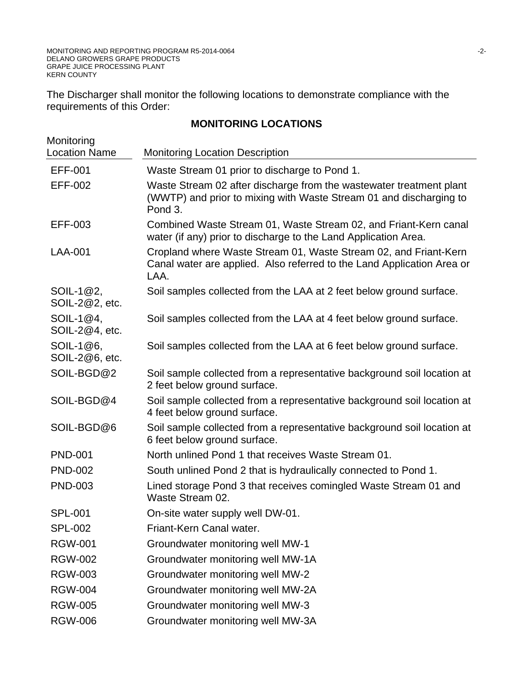The Discharger shall monitor the following locations to demonstrate compliance with the requirements of this Order:

# **MONITORING LOCATIONS**

| Monitoring<br><b>Location Name</b> | <b>Monitoring Location Description</b>                                                                                                               |
|------------------------------------|------------------------------------------------------------------------------------------------------------------------------------------------------|
| <b>EFF-001</b>                     | Waste Stream 01 prior to discharge to Pond 1.                                                                                                        |
| <b>EFF-002</b>                     | Waste Stream 02 after discharge from the wastewater treatment plant<br>(WWTP) and prior to mixing with Waste Stream 01 and discharging to<br>Pond 3. |
| EFF-003                            | Combined Waste Stream 01, Waste Stream 02, and Friant-Kern canal<br>water (if any) prior to discharge to the Land Application Area.                  |
| <b>LAA-001</b>                     | Cropland where Waste Stream 01, Waste Stream 02, and Friant-Kern<br>Canal water are applied. Also referred to the Land Application Area or<br>LAA.   |
| SOIL-1@2,<br>SOIL-2@2, etc.        | Soil samples collected from the LAA at 2 feet below ground surface.                                                                                  |
| SOIL-1@4,<br>SOIL-2@4, etc.        | Soil samples collected from the LAA at 4 feet below ground surface.                                                                                  |
| SOIL-1@6,<br>SOIL-2@6, etc.        | Soil samples collected from the LAA at 6 feet below ground surface.                                                                                  |
| SOIL-BGD@2                         | Soil sample collected from a representative background soil location at<br>2 feet below ground surface.                                              |
| SOIL-BGD@4                         | Soil sample collected from a representative background soil location at<br>4 feet below ground surface.                                              |
| SOIL-BGD@6                         | Soil sample collected from a representative background soil location at<br>6 feet below ground surface.                                              |
| <b>PND-001</b>                     | North unlined Pond 1 that receives Waste Stream 01.                                                                                                  |
| <b>PND-002</b>                     | South unlined Pond 2 that is hydraulically connected to Pond 1.                                                                                      |
| <b>PND-003</b>                     | Lined storage Pond 3 that receives comingled Waste Stream 01 and<br>Waste Stream 02.                                                                 |
| <b>SPL-001</b>                     | On-site water supply well DW-01.                                                                                                                     |
| <b>SPL-002</b>                     | Friant-Kern Canal water.                                                                                                                             |
| <b>RGW-001</b>                     | Groundwater monitoring well MW-1                                                                                                                     |
| <b>RGW-002</b>                     | Groundwater monitoring well MW-1A                                                                                                                    |
| <b>RGW-003</b>                     | Groundwater monitoring well MW-2                                                                                                                     |
| <b>RGW-004</b>                     | Groundwater monitoring well MW-2A                                                                                                                    |
| <b>RGW-005</b>                     | Groundwater monitoring well MW-3                                                                                                                     |
| <b>RGW-006</b>                     | Groundwater monitoring well MW-3A                                                                                                                    |
|                                    |                                                                                                                                                      |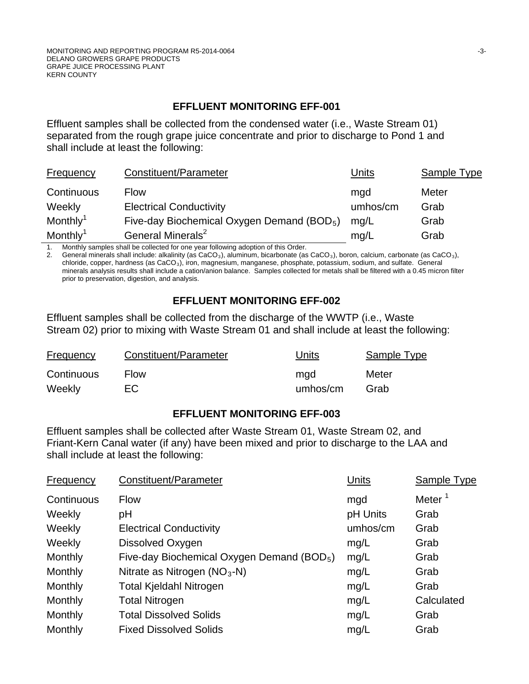# **EFFLUENT MONITORING EFF-001**

Effluent samples shall be collected from the condensed water (i.e., Waste Stream 01) separated from the rough grape juice concentrate and prior to discharge to Pond 1 and shall include at least the following:

| Frequency            | Constituent/Parameter                                  | <b>Units</b> | Sample Type |
|----------------------|--------------------------------------------------------|--------------|-------------|
| Continuous           | <b>Flow</b>                                            | mgd          | Meter       |
| Weekly               | <b>Electrical Conductivity</b>                         | umhos/cm     | Grab        |
| Monthly <sup>1</sup> | Five-day Biochemical Oxygen Demand (BOD <sub>5</sub> ) | mq/L         | Grab        |
| Monthly <sup>1</sup> | General Minerals <sup>2</sup>                          | mg/L         | Grab        |

1. Monthly samples shall be collected for one year following adoption of this Order.

2. General minerals shall include: alkalinity (as CaCO<sub>3</sub>), aluminum, bicarbonate (as CaCO<sub>3</sub>), boron, calcium, carbonate (as CaCO<sub>3</sub>), chloride, copper, hardness (as CaCO3), iron, magnesium, manganese, phosphate, potassium, sodium, and sulfate. General minerals analysis results shall include a cation/anion balance. Samples collected for metals shall be filtered with a 0.45 micron filter prior to preservation, digestion, and analysis.

# **EFFLUENT MONITORING EFF-002**

Effluent samples shall be collected from the discharge of the WWTP (i.e., Waste Stream 02) prior to mixing with Waste Stream 01 and shall include at least the following:

| <b>Frequency</b> | Constituent/Parameter | Units    | Sample Type |
|------------------|-----------------------|----------|-------------|
| Continuous       | <b>Flow</b>           | mgd      | Meter       |
| Weekly           | EС                    | umhos/cm | Grab        |

# **EFFLUENT MONITORING EFF-003**

Effluent samples shall be collected after Waste Stream 01, Waste Stream 02, and Friant-Kern Canal water (if any) have been mixed and prior to discharge to the LAA and shall include at least the following:

| Frequency      | Constituent/Parameter                          | Units    | <b>Sample Type</b> |
|----------------|------------------------------------------------|----------|--------------------|
| Continuous     | <b>Flow</b>                                    | mgd      | Meter <sup>1</sup> |
| Weekly         | рH                                             | pH Units | Grab               |
| Weekly         | <b>Electrical Conductivity</b>                 | umhos/cm | Grab               |
| Weekly         | Dissolved Oxygen                               | mg/L     | Grab               |
| <b>Monthly</b> | Five-day Biochemical Oxygen Demand (BOD $_5$ ) | mg/L     | Grab               |
| Monthly        | Nitrate as Nitrogen $(NO3-N)$                  | mg/L     | Grab               |
| Monthly        | <b>Total Kjeldahl Nitrogen</b>                 | mg/L     | Grab               |
| <b>Monthly</b> | <b>Total Nitrogen</b>                          | mg/L     | Calculated         |
| Monthly        | <b>Total Dissolved Solids</b>                  | mg/L     | Grab               |
| Monthly        | <b>Fixed Dissolved Solids</b>                  | mg/L     | Grab               |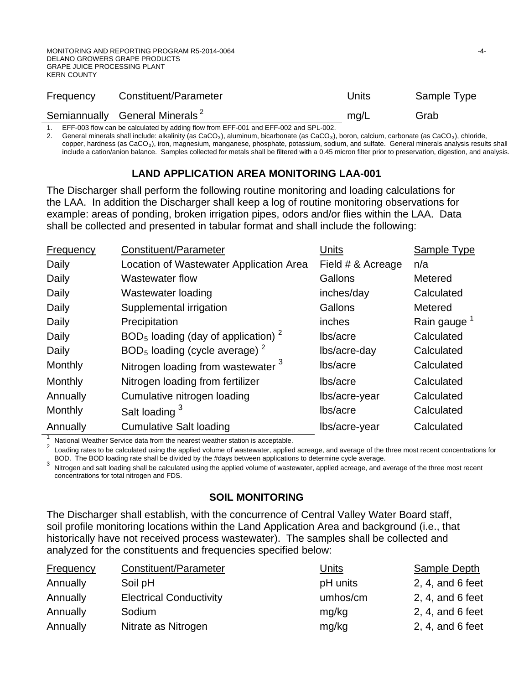| <b>Frequency</b> | Constituent/Parameter                      | Units | Sample Type |
|------------------|--------------------------------------------|-------|-------------|
|                  | Semiannually General Minerals <sup>2</sup> | mg/L  | Grab        |

1. EFF-003 flow can be calculated by adding flow from EFF-001 and EFF-002 and SPL-002.

2. General minerals shall include: alkalinity (as CaCO<sub>3</sub>), aluminum, bicarbonate (as CaCO<sub>3</sub>), boron, calcium, carbonate (as CaCO<sub>3</sub>), chloride, copper, hardness (as CaCO<sub>3</sub>), iron, magnesium, manganese, phosphate, potassium, sodium, and sulfate. General minerals analysis results shall include a cation/anion balance. Samples collected for metals shall be filtered with a 0.45 micron filter prior to preservation, digestion, and analysis.

# **LAND APPLICATION AREA MONITORING LAA-001**

The Discharger shall perform the following routine monitoring and loading calculations for the LAA. In addition the Discharger shall keep a log of routine monitoring observations for example: areas of ponding, broken irrigation pipes, odors and/or flies within the LAA. Data shall be collected and presented in tabular format and shall include the following:

| Frequency | Constituent/Parameter                            | Units             | Sample Type             |
|-----------|--------------------------------------------------|-------------------|-------------------------|
| Daily     | Location of Wastewater Application Area          | Field # & Acreage | n/a                     |
| Daily     | Wastewater flow                                  | Gallons           | Metered                 |
| Daily     | Wastewater loading                               | inches/day        | Calculated              |
| Daily     | Supplemental irrigation                          | Gallons           | Metered                 |
| Daily     | Precipitation                                    | inches            | Rain gauge <sup>1</sup> |
| Daily     | $BOD5$ loading (day of application) <sup>2</sup> | lbs/acre          | Calculated              |
| Daily     | $BOD5$ loading (cycle average) $2$               | lbs/acre-day      | Calculated              |
| Monthly   | Nitrogen loading from wastewater <sup>3</sup>    | lbs/acre          | Calculated              |
| Monthly   | Nitrogen loading from fertilizer                 | lbs/acre          | Calculated              |
| Annually  | Cumulative nitrogen loading                      | lbs/acre-year     | Calculated              |
| Monthly   | Salt loading <sup>3</sup>                        | lbs/acre          | Calculated              |
| Annually  | <b>Cumulative Salt loading</b>                   | lbs/acre-year     | Calculated              |

National Weather Service data from the nearest weather station is acceptable.<br>Loading rates to be calculated using the applied volume of wastewater, applied acreage, and average of the three most recent concentrations for<br>

Nitrogen and salt loading shall be calculated using the applied volume of wastewater, applied acreage, and average of the three most recent concentrations for total nitrogen and FDS.

# **SOIL MONITORING**

The Discharger shall establish, with the concurrence of Central Valley Water Board staff, soil profile monitoring locations within the Land Application Area and background (i.e., that historically have not received process wastewater). The samples shall be collected and analyzed for the constituents and frequencies specified below:

| <b>Frequency</b> | Constituent/Parameter          | <b>Units</b> | Sample Depth       |
|------------------|--------------------------------|--------------|--------------------|
| Annually         | Soil pH                        | pH units     | 2, 4, and $6$ feet |
| Annually         | <b>Electrical Conductivity</b> | umhos/cm     | 2, 4, and 6 feet   |
| Annually         | Sodium                         | mg/kg        | $2, 4,$ and 6 feet |
| Annually         | Nitrate as Nitrogen            | mg/kg        | $2, 4,$ and 6 feet |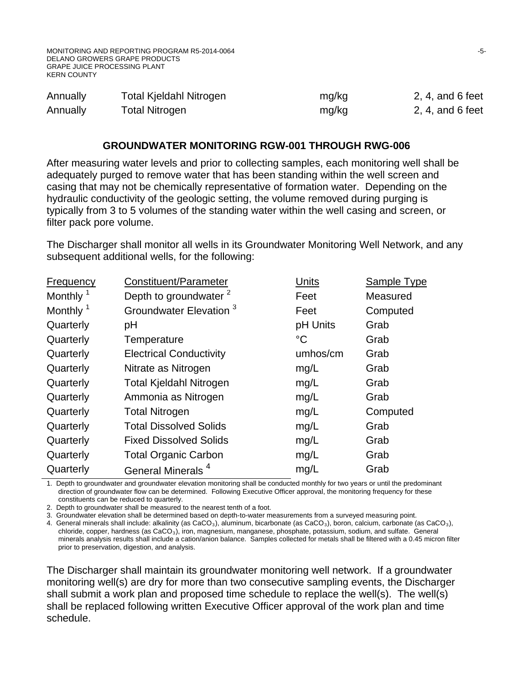| Annually | Total Kjeldahl Nitrogen | mg/kg | $2, 4,$ and 6 feet  |
|----------|-------------------------|-------|---------------------|
| Annually | <b>Total Nitrogen</b>   | mg/kg | $2, 4$ , and 6 feet |

#### **GROUNDWATER MONITORING RGW-001 THROUGH RWG-006**

After measuring water levels and prior to collecting samples, each monitoring well shall be adequately purged to remove water that has been standing within the well screen and casing that may not be chemically representative of formation water. Depending on the hydraulic conductivity of the geologic setting, the volume removed during purging is typically from 3 to 5 volumes of the standing water within the well casing and screen, or filter pack pore volume.

The Discharger shall monitor all wells in its Groundwater Monitoring Well Network, and any subsequent additional wells, for the following:

| <b>Frequency</b>     | Constituent/Parameter              | Units       | Sample Type |
|----------------------|------------------------------------|-------------|-------------|
| Monthly <sup>1</sup> | Depth to groundwater <sup>2</sup>  | Feet        | Measured    |
| Monthly <sup>1</sup> | Groundwater Elevation <sup>3</sup> | Feet        | Computed    |
| Quarterly            | pH                                 | pH Units    | Grab        |
| Quarterly            | Temperature                        | $^{\circ}C$ | Grab        |
| Quarterly            | <b>Electrical Conductivity</b>     | umhos/cm    | Grab        |
| Quarterly            | Nitrate as Nitrogen                | mg/L        | Grab        |
| Quarterly            | <b>Total Kjeldahl Nitrogen</b>     | mg/L        | Grab        |
| Quarterly            | Ammonia as Nitrogen                | mg/L        | Grab        |
| Quarterly            | <b>Total Nitrogen</b>              | mg/L        | Computed    |
| Quarterly            | <b>Total Dissolved Solids</b>      | mg/L        | Grab        |
| Quarterly            | <b>Fixed Dissolved Solids</b>      | mg/L        | Grab        |
| Quarterly            | <b>Total Organic Carbon</b>        | mg/L        | Grab        |
| Quarterly            | General Minerals <sup>4</sup>      | mg/L        | Grab        |

1. Depth to groundwater and groundwater elevation monitoring shall be conducted monthly for two years or until the predominant direction of groundwater flow can be determined. Following Executive Officer approval, the monitoring frequency for these constituents can be reduced to quarterly.

2. Depth to groundwater shall be measured to the nearest tenth of a foot.

3. Groundwater elevation shall be determined based on depth-to-water measurements from a surveyed measuring point.

4. General minerals shall include: alkalinity (as CaCO<sub>3</sub>), aluminum, bicarbonate (as CaCO<sub>3</sub>), boron, calcium, carbonate (as CaCO<sub>3</sub>),  $chloride, copper, hardness$  (as  $CaCO<sub>3</sub>$ ), iron, magnesium, manganese, phosphate, potassium, sodium, and sulfate. General minerals analysis results shall include a cation/anion balance. Samples collected for metals shall be filtered with a 0.45 micron filter prior to preservation, digestion, and analysis.

The Discharger shall maintain its groundwater monitoring well network. If a groundwater monitoring well(s) are dry for more than two consecutive sampling events, the Discharger shall submit a work plan and proposed time schedule to replace the well(s). The well(s) shall be replaced following written Executive Officer approval of the work plan and time schedule.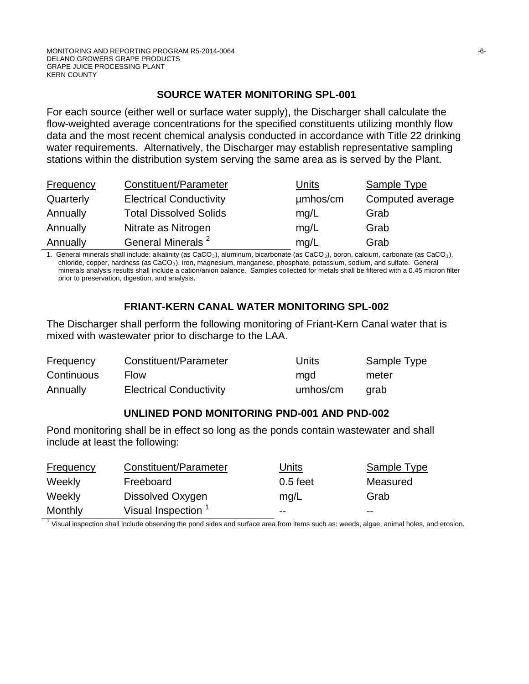# **SOURCE WATER MONITORING SPL-001**

For each source (either well or surface water supply), the Discharger shall calculate the flow-weighted average concentrations for the specified constituents utilizing monthly flow data and the most recent chemical analysis conducted in accordance with Title 22 drinking water requirements. Alternatively, the Discharger may establish representative sampling stations within the distribution system serving the same area as is served by the Plant.

| <b>Frequency</b> | Constituent/Parameter          | Units    | <b>Sample Type</b> |
|------------------|--------------------------------|----------|--------------------|
| Quarterly        | <b>Electrical Conductivity</b> | µmbos/cm | Computed average   |
| Annually         | <b>Total Dissolved Solids</b>  | mq/L     | Grab               |
| Annually         | Nitrate as Nitrogen            | mg/L     | Grab               |
| Annually         | General Minerals <sup>2</sup>  | mg/L     | Grab               |

1. General minerals shall include: alkalinity (as  $CaCO<sub>3</sub>$ ), aluminum, bicarbonate (as  $CaCO<sub>3</sub>$ ), boron, calcium, carbonate (as  $CaCO<sub>3</sub>$ ), chloride, copper, hardness (as CaCO3), iron, magnesium, manganese, phosphate, potassium, sodium, and sulfate. General minerals analysis results shall include a cation/anion balance. Samples collected for metals shall be filtered with a 0.45 micron filter prior to preservation, digestion, and analysis.

# **FRIANT-KERN CANAL WATER MONITORING SPL-002**

The Discharger shall perform the following monitoring of Friant-Kern Canal water that is mixed with wastewater prior to discharge to the LAA.

| <b>Frequency</b> | Constituent/Parameter          | Units    | <b>Sample Type</b> |
|------------------|--------------------------------|----------|--------------------|
| Continuous       | <b>Flow</b>                    | mgd      | meter              |
| Annually         | <b>Electrical Conductivity</b> | umhos/cm | arab               |

# **UNLINED POND MONITORING PND-001 AND PND-002**

Pond monitoring shall be in effect so long as the ponds contain wastewater and shall include at least the following:

| <b>Frequency</b> | Constituent/Parameter          | Units      | Sample Type |
|------------------|--------------------------------|------------|-------------|
| Weekly           | Freeboard                      | $0.5$ feet | Measured    |
| Weekly           | Dissolved Oxygen               | mq/L       | Grab        |
| Monthly          | Visual Inspection <sup>1</sup> | $- -$      | $- -$       |

 $<sup>1</sup>$  Visual inspection shall include observing the pond sides and surface area from items such as: weeds, algae, animal holes, and erosion.</sup>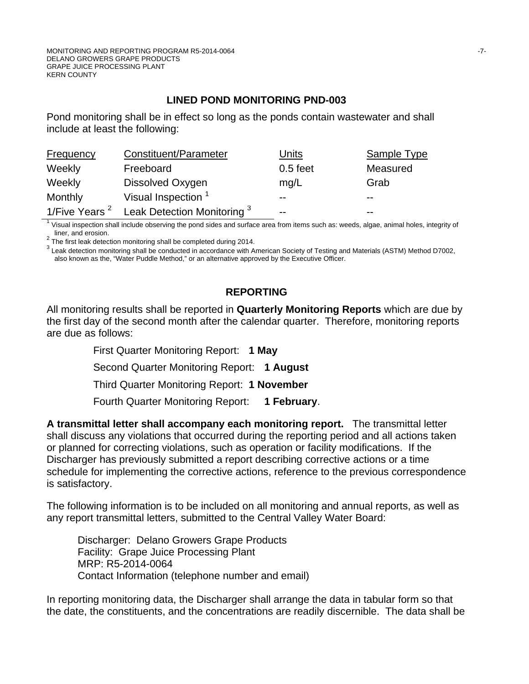# **LINED POND MONITORING PND-003**

Pond monitoring shall be in effect so long as the ponds contain wastewater and shall include at least the following:

| <b>Frequency</b>          | Constituent/Parameter          | Units      | <b>Sample Type</b> |
|---------------------------|--------------------------------|------------|--------------------|
| Weekly                    | Freeboard                      | $0.5$ feet | Measured           |
| Weekly                    | Dissolved Oxygen               | mq/L       | Grab               |
| Monthly                   | Visual Inspection <sup>1</sup> | $- -$      | $- -$              |
| 1/Five Years <sup>2</sup> | Leak Detection Monitoring 3    | $- -$      | $- -$              |

1 Visual inspection shall include observing the pond sides and surface area from items such as: weeds, algae, animal holes, integrity of

liner, and erosion.<br><sup>2</sup> The first leak detection monitoring shall be completed during 2014.

<sup>3</sup> Leak detection monitoring shall be conducted in accordance with American Society of Testing and Materials (ASTM) Method D7002, also known as the, "Water Puddle Method," or an alternative approved by the Executive Officer.

# **REPORTING**

All monitoring results shall be reported in **Quarterly Monitoring Reports** which are due by the first day of the second month after the calendar quarter. Therefore, monitoring reports are due as follows:

First Quarter Monitoring Report: **1 May**

Second Quarter Monitoring Report: **1 August**

Third Quarter Monitoring Report: **1 November**

Fourth Quarter Monitoring Report: **1 February**.

**A transmittal letter shall accompany each monitoring report.** The transmittal letter shall discuss any violations that occurred during the reporting period and all actions taken or planned for correcting violations, such as operation or facility modifications. If the Discharger has previously submitted a report describing corrective actions or a time schedule for implementing the corrective actions, reference to the previous correspondence is satisfactory.

The following information is to be included on all monitoring and annual reports, as well as any report transmittal letters, submitted to the Central Valley Water Board:

Discharger: Delano Growers Grape Products Facility: Grape Juice Processing Plant MRP: R5-2014-0064 Contact Information (telephone number and email)

In reporting monitoring data, the Discharger shall arrange the data in tabular form so that the date, the constituents, and the concentrations are readily discernible. The data shall be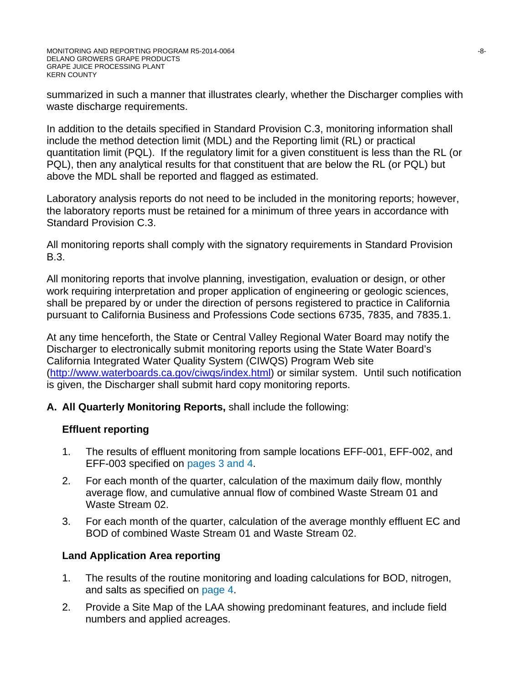summarized in such a manner that illustrates clearly, whether the Discharger complies with waste discharge requirements.

In addition to the details specified in Standard Provision C.3, monitoring information shall include the method detection limit (MDL) and the Reporting limit (RL) or practical quantitation limit (PQL). If the regulatory limit for a given constituent is less than the RL (or PQL), then any analytical results for that constituent that are below the RL (or PQL) but above the MDL shall be reported and flagged as estimated.

Laboratory analysis reports do not need to be included in the monitoring reports; however, the laboratory reports must be retained for a minimum of three years in accordance with Standard Provision C.3.

All monitoring reports shall comply with the signatory requirements in Standard Provision B.3.

All monitoring reports that involve planning, investigation, evaluation or design, or other work requiring interpretation and proper application of engineering or geologic sciences, shall be prepared by or under the direction of persons registered to practice in California pursuant to California Business and Professions Code sections 6735, 7835, and 7835.1.

At any time henceforth, the State or Central Valley Regional Water Board may notify the Discharger to electronically submit monitoring reports using the State Water Board's California Integrated Water Quality System (CIWQS) Program Web site [\(http://www.waterboards.ca.gov/ciwqs/index.html\)](http://www.waterboards.ca.gov/ciwqs/index.html) or similar system. Until such notification is given, the Discharger shall submit hard copy monitoring reports.

# **A. All Quarterly Monitoring Reports,** shall include the following:

# **Effluent reporting**

- 1. The results of effluent monitoring from sample locations EFF-001, EFF-002, and EFF-003 specified on pages 3 and 4.
- 2. For each month of the quarter, calculation of the maximum daily flow, monthly average flow, and cumulative annual flow of combined Waste Stream 01 and Waste Stream 02.
- 3. For each month of the quarter, calculation of the average monthly effluent EC and BOD of combined Waste Stream 01 and Waste Stream 02.

# **Land Application Area reporting**

- 1. The results of the routine monitoring and loading calculations for BOD, nitrogen, and salts as specified on page 4.
- 2. Provide a Site Map of the LAA showing predominant features, and include field numbers and applied acreages.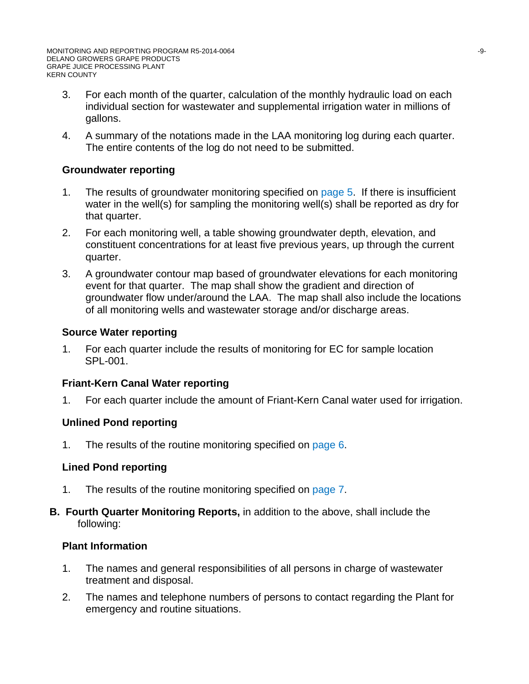- 3. For each month of the quarter, calculation of the monthly hydraulic load on each individual section for wastewater and supplemental irrigation water in millions of gallons.
- 4. A summary of the notations made in the LAA monitoring log during each quarter. The entire contents of the log do not need to be submitted.

# **Groundwater reporting**

- 1. The results of groundwater monitoring specified on page 5. If there is insufficient water in the well(s) for sampling the monitoring well(s) shall be reported as dry for that quarter.
- 2. For each monitoring well, a table showing groundwater depth, elevation, and constituent concentrations for at least five previous years, up through the current quarter.
- 3. A groundwater contour map based of groundwater elevations for each monitoring event for that quarter. The map shall show the gradient and direction of groundwater flow under/around the LAA. The map shall also include the locations of all monitoring wells and wastewater storage and/or discharge areas.

# **Source Water reporting**

1. For each quarter include the results of monitoring for EC for sample location SPL-001.

# **Friant-Kern Canal Water reporting**

1. For each quarter include the amount of Friant-Kern Canal water used for irrigation.

# **Unlined Pond reporting**

1. The results of the routine monitoring specified on page 6.

# **Lined Pond reporting**

- 1. The results of the routine monitoring specified on page 7.
- **B. Fourth Quarter Monitoring Reports,** in addition to the above, shall include the following:

# **Plant Information**

- 1. The names and general responsibilities of all persons in charge of wastewater treatment and disposal.
- 2. The names and telephone numbers of persons to contact regarding the Plant for emergency and routine situations.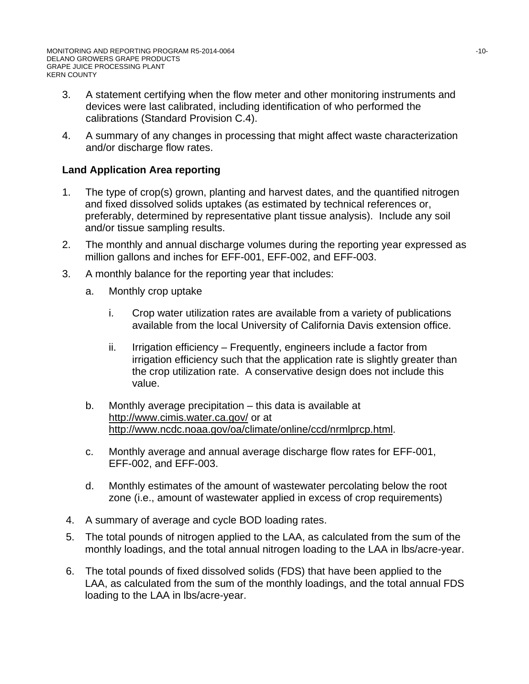- 3. A statement certifying when the flow meter and other monitoring instruments and devices were last calibrated, including identification of who performed the calibrations (Standard Provision C.4).
- 4. A summary of any changes in processing that might affect waste characterization and/or discharge flow rates.

# **Land Application Area reporting**

- 1. The type of crop(s) grown, planting and harvest dates, and the quantified nitrogen and fixed dissolved solids uptakes (as estimated by technical references or, preferably, determined by representative plant tissue analysis). Include any soil and/or tissue sampling results.
- 2. The monthly and annual discharge volumes during the reporting year expressed as million gallons and inches for EFF-001, EFF-002, and EFF-003.
- 3. A monthly balance for the reporting year that includes:
	- a. Monthly crop uptake
		- i. Crop water utilization rates are available from a variety of publications available from the local University of California Davis extension office.
		- ii. Irrigation efficiency Frequently, engineers include a factor from irrigation efficiency such that the application rate is slightly greater than the crop utilization rate. A conservative design does not include this value.
	- b. Monthly average precipitation this data is available at http://www.cimis.water.ca.gov/ or at http://www.ncdc.noaa.gov/oa/climate/online/ccd/nrmlprcp.html.
	- c. Monthly average and annual average discharge flow rates for EFF-001, EFF-002, and EFF-003.
	- d. Monthly estimates of the amount of wastewater percolating below the root zone (i.e., amount of wastewater applied in excess of crop requirements)
- 4. A summary of average and cycle BOD loading rates.
- 5. The total pounds of nitrogen applied to the LAA, as calculated from the sum of the monthly loadings, and the total annual nitrogen loading to the LAA in lbs/acre-year.
- 6. The total pounds of fixed dissolved solids (FDS) that have been applied to the LAA, as calculated from the sum of the monthly loadings, and the total annual FDS loading to the LAA in lbs/acre-year.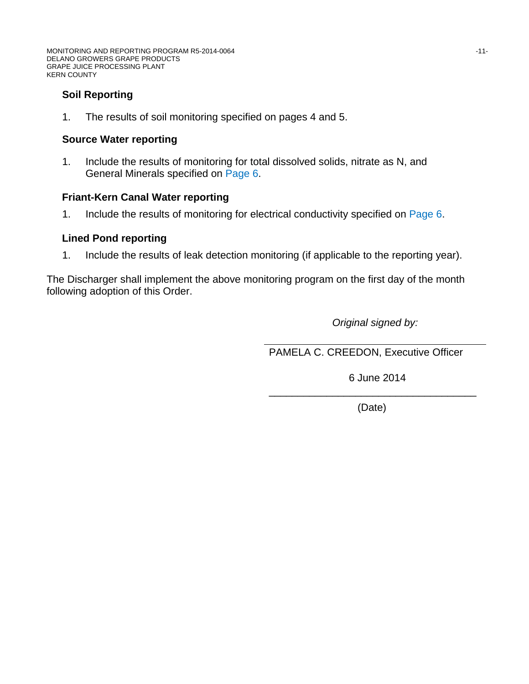# **Soil Reporting**

1. The results of soil monitoring specified on pages 4 and 5.

#### **Source Water reporting**

1. Include the results of monitoring for total dissolved solids, nitrate as N, and General Minerals specified on Page 6.

#### **Friant-Kern Canal Water reporting**

1. Include the results of monitoring for electrical conductivity specified on Page 6.

# **Lined Pond reporting**

1. Include the results of leak detection monitoring (if applicable to the reporting year).

The Discharger shall implement the above monitoring program on the first day of the month following adoption of this Order.

*Original signed by:*

PAMELA C. CREEDON, Executive Officer

6 June 2014

\_\_\_\_\_\_\_\_\_\_\_\_\_\_\_\_\_\_\_\_\_\_\_\_\_\_\_\_\_\_\_\_\_\_\_\_ (Date)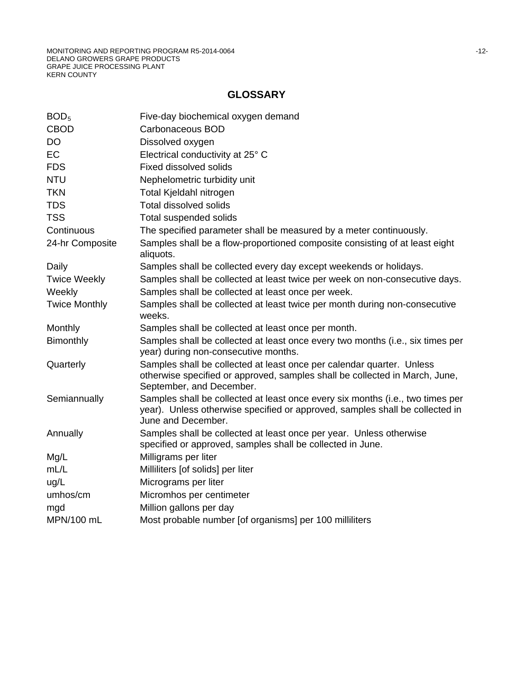# **GLOSSARY**

| BOD <sub>5</sub>     | Five-day biochemical oxygen demand                                                                                                                                                   |
|----------------------|--------------------------------------------------------------------------------------------------------------------------------------------------------------------------------------|
| <b>CBOD</b>          | Carbonaceous BOD                                                                                                                                                                     |
| <b>DO</b>            | Dissolved oxygen                                                                                                                                                                     |
| EC                   | Electrical conductivity at 25° C                                                                                                                                                     |
| <b>FDS</b>           | <b>Fixed dissolved solids</b>                                                                                                                                                        |
| <b>NTU</b>           | Nephelometric turbidity unit                                                                                                                                                         |
| <b>TKN</b>           | Total Kjeldahl nitrogen                                                                                                                                                              |
| <b>TDS</b>           | <b>Total dissolved solids</b>                                                                                                                                                        |
| <b>TSS</b>           | <b>Total suspended solids</b>                                                                                                                                                        |
| Continuous           | The specified parameter shall be measured by a meter continuously.                                                                                                                   |
| 24-hr Composite      | Samples shall be a flow-proportioned composite consisting of at least eight<br>aliquots.                                                                                             |
| Daily                | Samples shall be collected every day except weekends or holidays.                                                                                                                    |
| <b>Twice Weekly</b>  | Samples shall be collected at least twice per week on non-consecutive days.                                                                                                          |
| Weekly               | Samples shall be collected at least once per week.                                                                                                                                   |
| <b>Twice Monthly</b> | Samples shall be collected at least twice per month during non-consecutive<br>weeks.                                                                                                 |
| Monthly              | Samples shall be collected at least once per month.                                                                                                                                  |
| Bimonthly            | Samples shall be collected at least once every two months (i.e., six times per<br>year) during non-consecutive months.                                                               |
| Quarterly            | Samples shall be collected at least once per calendar quarter. Unless<br>otherwise specified or approved, samples shall be collected in March, June,<br>September, and December.     |
| Semiannually         | Samples shall be collected at least once every six months (i.e., two times per<br>year). Unless otherwise specified or approved, samples shall be collected in<br>June and December. |
| Annually             | Samples shall be collected at least once per year. Unless otherwise<br>specified or approved, samples shall be collected in June.                                                    |
| Mg/L                 | Milligrams per liter                                                                                                                                                                 |
| mL/L                 | Milliliters [of solids] per liter                                                                                                                                                    |
| ug/L                 | Micrograms per liter                                                                                                                                                                 |
| umhos/cm             | Micromhos per centimeter                                                                                                                                                             |
| mgd                  | Million gallons per day                                                                                                                                                              |
| MPN/100 mL           | Most probable number [of organisms] per 100 milliliters                                                                                                                              |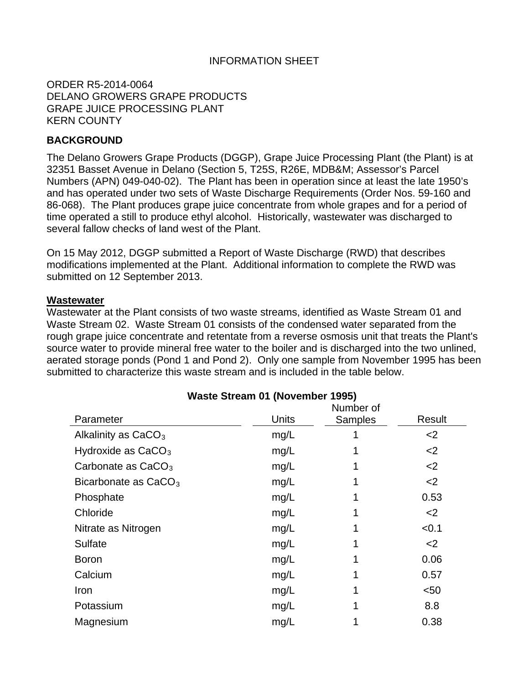# INFORMATION SHEET

ORDER R5-2014-0064 DELANO GROWERS GRAPE PRODUCTS GRAPE JUICE PROCESSING PLANT KERN COUNTY

#### **BACKGROUND**

The Delano Growers Grape Products (DGGP), Grape Juice Processing Plant (the Plant) is at 32351 Basset Avenue in Delano (Section 5, T25S, R26E, MDB&M; Assessor's Parcel Numbers (APN) 049-040-02). The Plant has been in operation since at least the late 1950's and has operated under two sets of Waste Discharge Requirements (Order Nos. 59-160 and 86-068). The Plant produces grape juice concentrate from whole grapes and for a period of time operated a still to produce ethyl alcohol. Historically, wastewater was discharged to several fallow checks of land west of the Plant.

On 15 May 2012, DGGP submitted a Report of Waste Discharge (RWD) that describes modifications implemented at the Plant. Additional information to complete the RWD was submitted on 12 September 2013.

#### **Wastewater**

Wastewater at the Plant consists of two waste streams, identified as Waste Stream 01 and Waste Stream 02. Waste Stream 01 consists of the condensed water separated from the rough grape juice concentrate and retentate from a reverse osmosis unit that treats the Plant's source water to provide mineral free water to the boiler and is discharged into the two unlined, aerated storage ponds (Pond 1 and Pond 2). Only one sample from November 1995 has been submitted to characterize this waste stream and is included in the table below.

| <b>Traste Stream UT (NOVERIBEL 1999)</b> |       |                |        |
|------------------------------------------|-------|----------------|--------|
|                                          |       | Number of      |        |
| Parameter                                | Units | <b>Samples</b> | Result |
| Alkalinity as $CaCO3$                    | mg/L  |                | $<$ 2  |
| Hydroxide as $CaCO3$                     | mg/L  |                | $<$ 2  |
| Carbonate as $CaCO3$                     | mg/L  |                | $<$ 2  |
| Bicarbonate as $CaCO3$                   | mg/L  |                | $<$ 2  |
| Phosphate                                | mg/L  |                | 0.53   |
| Chloride                                 | mg/L  |                | $<$ 2  |
| Nitrate as Nitrogen                      | mg/L  |                | < 0.1  |
| Sulfate                                  | mg/L  |                | $<$ 2  |
| <b>Boron</b>                             | mg/L  |                | 0.06   |
| Calcium                                  | mg/L  |                | 0.57   |
| Iron                                     | mg/L  |                | $50$   |
| Potassium                                | mg/L  |                | 8.8    |
| Magnesium                                | mg/L  |                | 0.38   |

# **Waste Stream 01 (November 1995)**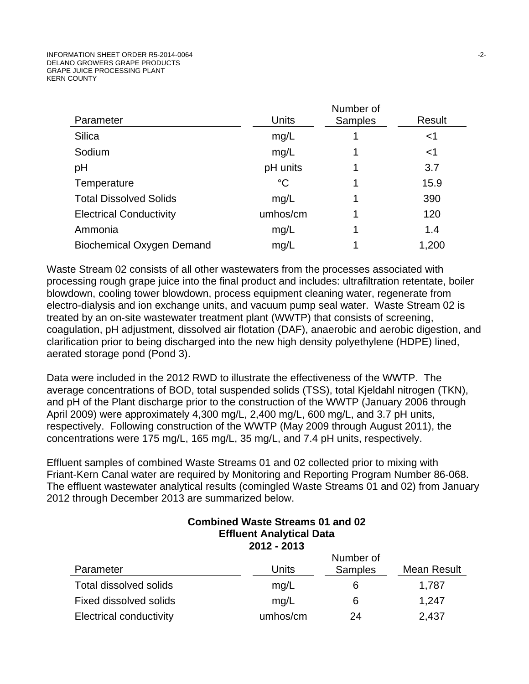|                                  |             | Number of      |        |
|----------------------------------|-------------|----------------|--------|
| Parameter                        | Units       | <b>Samples</b> | Result |
| <b>Silica</b>                    | mg/L        |                | $<$ 1  |
| Sodium                           | mg/L        |                | $<$ 1  |
| pH                               | pH units    |                | 3.7    |
| Temperature                      | $^{\circ}C$ |                | 15.9   |
| <b>Total Dissolved Solids</b>    | mg/L        |                | 390    |
| <b>Electrical Conductivity</b>   | umhos/cm    |                | 120    |
| Ammonia                          | mg/L        |                | 1.4    |
| <b>Biochemical Oxygen Demand</b> | mg/L        |                | 1,200  |

Waste Stream 02 consists of all other wastewaters from the processes associated with processing rough grape juice into the final product and includes: ultrafiltration retentate, boiler blowdown, cooling tower blowdown, process equipment cleaning water, regenerate from electro-dialysis and ion exchange units, and vacuum pump seal water. Waste Stream 02 is treated by an on-site wastewater treatment plant (WWTP) that consists of screening, coagulation, pH adjustment, dissolved air flotation (DAF), anaerobic and aerobic digestion, and clarification prior to being discharged into the new high density polyethylene (HDPE) lined, aerated storage pond (Pond 3).

Data were included in the 2012 RWD to illustrate the effectiveness of the WWTP. The average concentrations of BOD, total suspended solids (TSS), total Kjeldahl nitrogen (TKN), and pH of the Plant discharge prior to the construction of the WWTP (January 2006 through April 2009) were approximately 4,300 mg/L, 2,400 mg/L, 600 mg/L, and 3.7 pH units, respectively. Following construction of the WWTP (May 2009 through August 2011), the concentrations were 175 mg/L, 165 mg/L, 35 mg/L, and 7.4 pH units, respectively.

Effluent samples of combined Waste Streams 01 and 02 collected prior to mixing with Friant-Kern Canal water are required by Monitoring and Reporting Program Number 86-068. The effluent wastewater analytical results (comingled Waste Streams 01 and 02) from January 2012 through December 2013 are summarized below.

| <b>Combined Waste Streams 01 and 02</b><br><b>Effluent Analytical Data</b><br>2012 - 2013 |          |                |                    |
|-------------------------------------------------------------------------------------------|----------|----------------|--------------------|
|                                                                                           |          | Number of      |                    |
| Parameter                                                                                 | Units    | <b>Samples</b> | <b>Mean Result</b> |
| <b>Total dissolved solids</b>                                                             | mg/L     | 6              | 1,787              |
| Fixed dissolved solids                                                                    | mg/L     | 6              | 1,247              |
| <b>Electrical conductivity</b>                                                            | umhos/cm | 24             | 2,437              |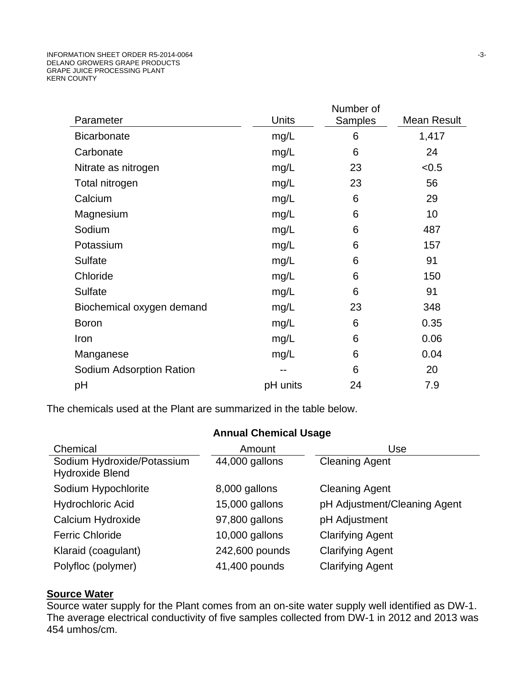|                           |          | Number of |             |
|---------------------------|----------|-----------|-------------|
| Parameter                 | Units    | Samples   | Mean Result |
| <b>Bicarbonate</b>        | mg/L     | 6         | 1,417       |
| Carbonate                 | mg/L     | 6         | 24          |
| Nitrate as nitrogen       | mg/L     | 23        | < 0.5       |
| Total nitrogen            | mg/L     | 23        | 56          |
| Calcium                   | mg/L     | 6         | 29          |
| Magnesium                 | mg/L     | 6         | 10          |
| Sodium                    | mg/L     | 6         | 487         |
| Potassium                 | mg/L     | 6         | 157         |
| <b>Sulfate</b>            | mg/L     | 6         | 91          |
| Chloride                  | mg/L     | 6         | 150         |
| Sulfate                   | mg/L     | 6         | 91          |
| Biochemical oxygen demand | mg/L     | 23        | 348         |
| <b>Boron</b>              | mg/L     | 6         | 0.35        |
| Iron                      | mg/L     | 6         | 0.06        |
| Manganese                 | mg/L     | 6         | 0.04        |
| Sodium Adsorption Ration  | --       | 6         | 20          |
| рH                        | pH units | 24        | 7.9         |
|                           |          |           |             |

The chemicals used at the Plant are summarized in the table below.

| <b>Annual Chemical Usage</b>                         |                  |                              |  |  |  |
|------------------------------------------------------|------------------|------------------------------|--|--|--|
| Chemical                                             | Amount           | Use                          |  |  |  |
| Sodium Hydroxide/Potassium<br><b>Hydroxide Blend</b> | 44,000 gallons   | <b>Cleaning Agent</b>        |  |  |  |
| Sodium Hypochlorite                                  | 8,000 gallons    | <b>Cleaning Agent</b>        |  |  |  |
| <b>Hydrochloric Acid</b>                             | 15,000 gallons   | pH Adjustment/Cleaning Agent |  |  |  |
| Calcium Hydroxide                                    | 97,800 gallons   | pH Adjustment                |  |  |  |
| <b>Ferric Chloride</b>                               | $10,000$ gallons | <b>Clarifying Agent</b>      |  |  |  |
| Klaraid (coagulant)                                  | 242,600 pounds   | <b>Clarifying Agent</b>      |  |  |  |
| Polyfloc (polymer)                                   | 41,400 pounds    | <b>Clarifying Agent</b>      |  |  |  |

# **Source Water**

Source water supply for the Plant comes from an on-site water supply well identified as DW-1. The average electrical conductivity of five samples collected from DW-1 in 2012 and 2013 was 454 umhos/cm.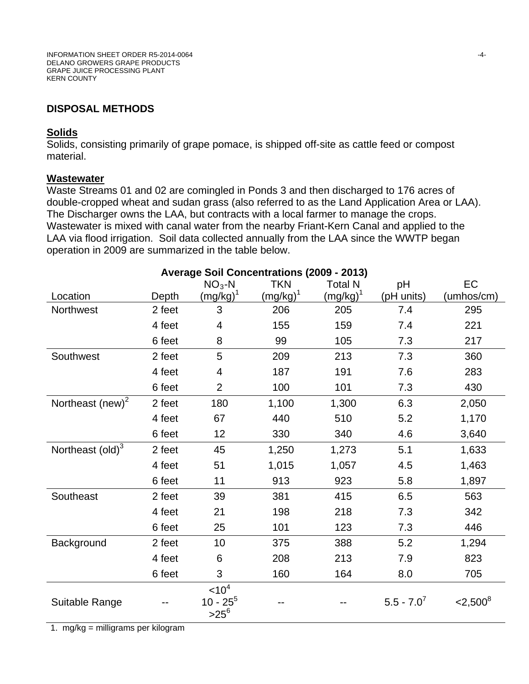# **DISPOSAL METHODS**

#### **Solids**

Solids, consisting primarily of grape pomace, is shipped off-site as cattle feed or compost material.

#### **Wastewater**

Waste Streams 01 and 02 are comingled in Ponds 3 and then discharged to 176 acres of double-cropped wheat and sudan grass (also referred to as the Land Application Area or LAA). The Discharger owns the LAA, but contracts with a local farmer to manage the crops. Wastewater is mixed with canal water from the nearby Friant-Kern Canal and applied to the LAA via flood irrigation. Soil data collected annually from the LAA since the WWTP began operation in 2009 are summarized in the table below.

|                            | Avviugu | $NO3 - N$                                   | $0.0010$ (2000<br><b>TKN</b> | $\sim$ $\sim$ $\prime$<br><b>Total N</b> | pH              | EC             |
|----------------------------|---------|---------------------------------------------|------------------------------|------------------------------------------|-----------------|----------------|
| Location                   | Depth   | $(mg/kg)^1$                                 | $(mg/kg)^1$                  | $(mg/kg)^1$                              | (pH units)      | (umhos/cm)     |
| Northwest                  | 2 feet  | 3                                           | 206                          | 205                                      | 7.4             | 295            |
|                            | 4 feet  | 4                                           | 155                          | 159                                      | 7.4             | 221            |
|                            | 6 feet  | 8                                           | 99                           | 105                                      | 7.3             | 217            |
| Southwest                  | 2 feet  | 5                                           | 209                          | 213                                      | 7.3             | 360            |
|                            | 4 feet  | 4                                           | 187                          | 191                                      | 7.6             | 283            |
|                            | 6 feet  | $\overline{2}$                              | 100                          | 101                                      | 7.3             | 430            |
| Northeast (new) $2$        | 2 feet  | 180                                         | 1,100                        | 1,300                                    | 6.3             | 2,050          |
|                            | 4 feet  | 67                                          | 440                          | 510                                      | 5.2             | 1,170          |
|                            | 6 feet  | 12                                          | 330                          | 340                                      | 4.6             | 3,640          |
| Northeast $\text{(old)}^3$ | 2 feet  | 45                                          | 1,250                        | 1,273                                    | 5.1             | 1,633          |
|                            | 4 feet  | 51                                          | 1,015                        | 1,057                                    | 4.5             | 1,463          |
|                            | 6 feet  | 11                                          | 913                          | 923                                      | 5.8             | 1,897          |
| Southeast                  | 2 feet  | 39                                          | 381                          | 415                                      | 6.5             | 563            |
|                            | 4 feet  | 21                                          | 198                          | 218                                      | 7.3             | 342            |
|                            | 6 feet  | 25                                          | 101                          | 123                                      | 7.3             | 446            |
| Background                 | 2 feet  | 10                                          | 375                          | 388                                      | 5.2             | 1,294          |
|                            | 4 feet  | 6                                           | 208                          | 213                                      | 7.9             | 823            |
|                            | 6 feet  | 3                                           | 160                          | 164                                      | 8.0             | 705            |
| Suitable Range             |         | < 10 <sup>4</sup><br>$10 - 25^5$<br>$>25^6$ |                              |                                          | $5.5 - 7.0^{7}$ | $<$ 2,500 $^8$ |

**Average Soil Concentrations (2009 - 2013)**

1. mg/kg = milligrams per kilogram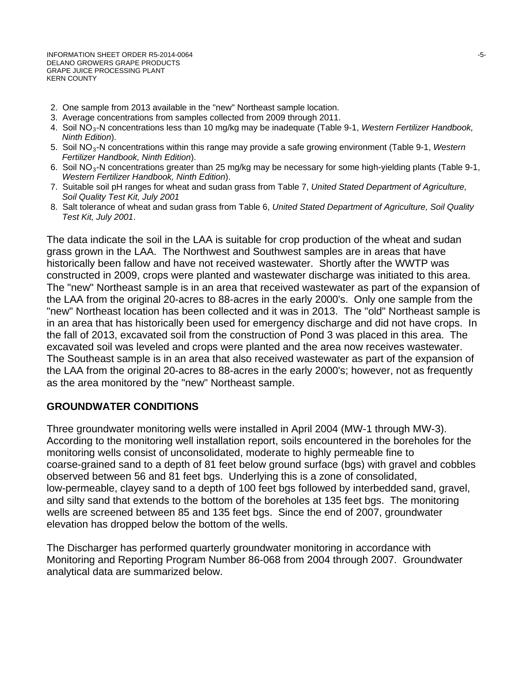INFORMATION SHEET ORDER R5-2014-0064 -5- DELANO GROWERS GRAPE PRODUCTS GRAPE JUICE PROCESSING PLANT KERN COUNTY

- 2. One sample from 2013 available in the "new" Northeast sample location.
- 3. Average concentrations from samples collected from 2009 through 2011.
- 4. Soil NO3-N concentrations less than 10 mg/kg may be inadequate (Table 9-1, *Western Fertilizer Handbook, Ninth Edition*).
- 5. Soil NO3-N concentrations within this range may provide a safe growing environment (Table 9-1, *Western Fertilizer Handbook, Ninth Edition*).
- 6. Soil NO<sub>3</sub>-N concentrations greater than 25 mg/kg may be necessary for some high-yielding plants (Table 9-1, *Western Fertilizer Handbook, Ninth Edition*).
- 7. Suitable soil pH ranges for wheat and sudan grass from Table 7, *United Stated Department of Agriculture, Soil Quality Test Kit, July 2001*
- 8. Salt tolerance of wheat and sudan grass from Table 6, *United Stated Department of Agriculture, Soil Quality Test Kit, July 2001*.

The data indicate the soil in the LAA is suitable for crop production of the wheat and sudan grass grown in the LAA. The Northwest and Southwest samples are in areas that have historically been fallow and have not received wastewater. Shortly after the WWTP was constructed in 2009, crops were planted and wastewater discharge was initiated to this area. The "new" Northeast sample is in an area that received wastewater as part of the expansion of the LAA from the original 20-acres to 88-acres in the early 2000's. Only one sample from the "new" Northeast location has been collected and it was in 2013. The "old" Northeast sample is in an area that has historically been used for emergency discharge and did not have crops. In the fall of 2013, excavated soil from the construction of Pond 3 was placed in this area. The excavated soil was leveled and crops were planted and the area now receives wastewater. The Southeast sample is in an area that also received wastewater as part of the expansion of the LAA from the original 20-acres to 88-acres in the early 2000's; however, not as frequently as the area monitored by the "new" Northeast sample.

# **GROUNDWATER CONDITIONS**

Three groundwater monitoring wells were installed in April 2004 (MW-1 through MW-3). According to the monitoring well installation report, soils encountered in the boreholes for the monitoring wells consist of unconsolidated, moderate to highly permeable fine to coarse-grained sand to a depth of 81 feet below ground surface (bgs) with gravel and cobbles observed between 56 and 81 feet bgs. Underlying this is a zone of consolidated, low-permeable, clayey sand to a depth of 100 feet bgs followed by interbedded sand, gravel, and silty sand that extends to the bottom of the boreholes at 135 feet bgs. The monitoring wells are screened between 85 and 135 feet bgs. Since the end of 2007, groundwater elevation has dropped below the bottom of the wells.

The Discharger has performed quarterly groundwater monitoring in accordance with Monitoring and Reporting Program Number 86-068 from 2004 through 2007. Groundwater analytical data are summarized below.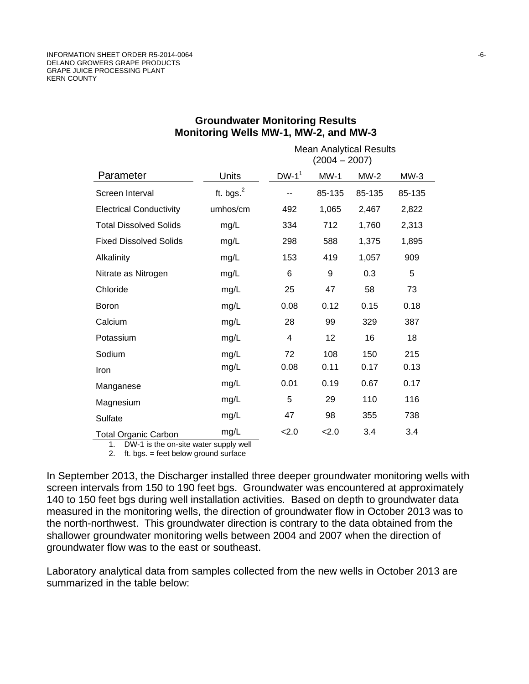|                                |              | <b>Mean Analytical Results</b><br>$(2004 - 2007)$ |        |        |        |
|--------------------------------|--------------|---------------------------------------------------|--------|--------|--------|
| Parameter                      | Units        | $DW-1^1$                                          | $MW-1$ | $MW-2$ | $MW-3$ |
| Screen Interval                | ft. bgs. $2$ |                                                   | 85-135 | 85-135 | 85-135 |
| <b>Electrical Conductivity</b> | umhos/cm     | 492                                               | 1,065  | 2,467  | 2,822  |
| <b>Total Dissolved Solids</b>  | mg/L         | 334                                               | 712    | 1,760  | 2,313  |
| <b>Fixed Dissolved Solids</b>  | mg/L         | 298                                               | 588    | 1,375  | 1,895  |
| Alkalinity                     | mg/L         | 153                                               | 419    | 1,057  | 909    |
| Nitrate as Nitrogen            | mg/L         | 6                                                 | 9      | 0.3    | 5      |
| Chloride                       | mg/L         | 25                                                | 47     | 58     | 73     |
| <b>Boron</b>                   | mg/L         | 0.08                                              | 0.12   | 0.15   | 0.18   |
| Calcium                        | mg/L         | 28                                                | 99     | 329    | 387    |
| Potassium                      | mg/L         | $\overline{4}$                                    | 12     | 16     | 18     |
| Sodium                         | mg/L         | 72                                                | 108    | 150    | 215    |
| Iron                           | mg/L         | 0.08                                              | 0.11   | 0.17   | 0.13   |
| Manganese                      | mg/L         | 0.01                                              | 0.19   | 0.67   | 0.17   |
| Magnesium                      | mg/L         | 5                                                 | 29     | 110    | 116    |
| Sulfate                        | mg/L         | 47                                                | 98     | 355    | 738    |
| <b>Total Organic Carbon</b>    | mg/L         | 2.0                                               | 2.0    | 3.4    | 3.4    |

#### **Groundwater Monitoring Results Monitoring Wells MW-1, MW-2, and MW-3**

1. DW-1 is the on-site water supply well

2. ft. bgs. = feet below ground surface

In September 2013, the Discharger installed three deeper groundwater monitoring wells with screen intervals from 150 to 190 feet bgs. Groundwater was encountered at approximately 140 to 150 feet bgs during well installation activities. Based on depth to groundwater data measured in the monitoring wells, the direction of groundwater flow in October 2013 was to the north-northwest. This groundwater direction is contrary to the data obtained from the shallower groundwater monitoring wells between 2004 and 2007 when the direction of groundwater flow was to the east or southeast.

Laboratory analytical data from samples collected from the new wells in October 2013 are summarized in the table below: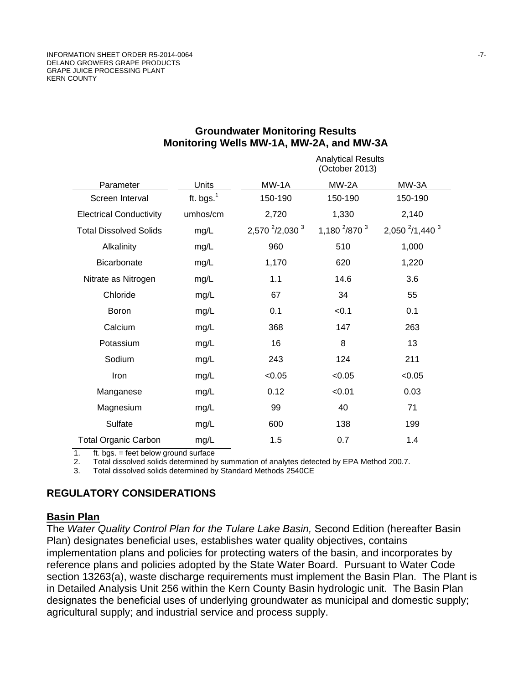|                                |              | <b>Analytical Results</b><br>(October 2013) |                      |                            |
|--------------------------------|--------------|---------------------------------------------|----------------------|----------------------------|
| Parameter                      | Units        | MW-1A                                       | MW-2A                | MW-3A                      |
| Screen Interval                | ft. bgs. $1$ | 150-190                                     | 150-190              | 150-190                    |
| <b>Electrical Conductivity</b> | umhos/cm     | 2,720                                       | 1,330                | 2,140                      |
| <b>Total Dissolved Solids</b>  | mg/L         | 2,570 <sup>2</sup> /2,030 <sup>3</sup>      | 1,180 $^{2}/870^{3}$ | 2,050 $^{2}/1$ ,440 $^{3}$ |
| Alkalinity                     | mg/L         | 960                                         | 510                  | 1,000                      |
| Bicarbonate                    | mg/L         | 1,170                                       | 620                  | 1,220                      |
| Nitrate as Nitrogen            | mg/L         | 1.1                                         | 14.6                 | 3.6                        |
| Chloride                       | mg/L         | 67                                          | 34                   | 55                         |
| <b>Boron</b>                   | mg/L         | 0.1                                         | < 0.1                | 0.1                        |
| Calcium                        | mg/L         | 368                                         | 147                  | 263                        |
| Potassium                      | mg/L         | 16                                          | 8                    | 13                         |
| Sodium                         | mg/L         | 243                                         | 124                  | 211                        |
| Iron                           | mg/L         | < 0.05                                      | < 0.05               | < 0.05                     |
| Manganese                      | mg/L         | 0.12                                        | < 0.01               | 0.03                       |
| Magnesium                      | mg/L         | 99                                          | 40                   | 71                         |
| Sulfate                        | mg/L         | 600                                         | 138                  | 199                        |
| <b>Total Organic Carbon</b>    | mg/L         | 1.5                                         | 0.7                  | 1.4                        |

#### **Groundwater Monitoring Results Monitoring Wells MW-1A, MW-2A, and MW-3A**

1.  $ft. bgs. = feet below ground surface  
2. Total dissolved solids determined by$ 2. Total dissolved solids determined by summation of analytes detected by EPA Method 200.7.<br>3. Total dissolved solids determined by Standard Methods 2540CF

3. Total dissolved solids determined by Standard Methods 2540CE

# **REGULATORY CONSIDERATIONS**

#### **Basin Plan**

The *Water Quality Control Plan for the Tulare Lake Basin,* Second Edition (hereafter Basin Plan) designates beneficial uses, establishes water quality objectives, contains implementation plans and policies for protecting waters of the basin, and incorporates by reference plans and policies adopted by the State Water Board. Pursuant to Water Code section 13263(a), waste discharge requirements must implement the Basin Plan. The Plant is in Detailed Analysis Unit 256 within the Kern County Basin hydrologic unit. The Basin Plan designates the beneficial uses of underlying groundwater as municipal and domestic supply; agricultural supply; and industrial service and process supply.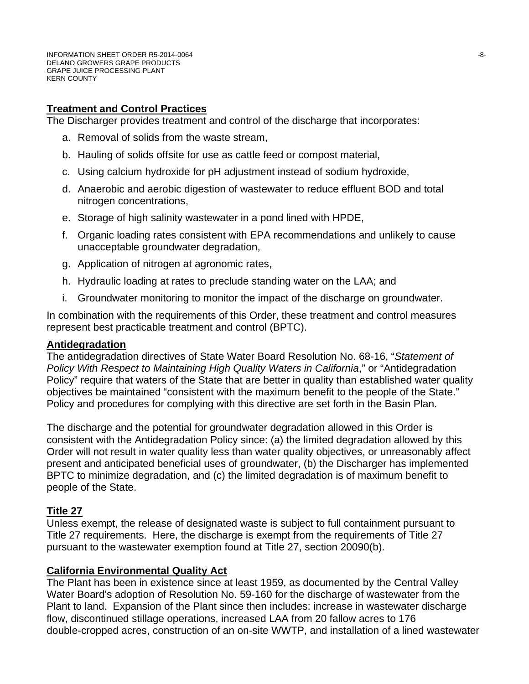# **Treatment and Control Practices**

The Discharger provides treatment and control of the discharge that incorporates:

- a. Removal of solids from the waste stream,
- b. Hauling of solids offsite for use as cattle feed or compost material,
- c. Using calcium hydroxide for pH adjustment instead of sodium hydroxide,
- d. Anaerobic and aerobic digestion of wastewater to reduce effluent BOD and total nitrogen concentrations,
- e. Storage of high salinity wastewater in a pond lined with HPDE,
- f. Organic loading rates consistent with EPA recommendations and unlikely to cause unacceptable groundwater degradation,
- g. Application of nitrogen at agronomic rates,
- h. Hydraulic loading at rates to preclude standing water on the LAA; and
- i. Groundwater monitoring to monitor the impact of the discharge on groundwater.

In combination with the requirements of this Order, these treatment and control measures represent best practicable treatment and control (BPTC).

#### **Antidegradation**

The antidegradation directives of State Water Board Resolution No. 68-16, "*Statement of Policy With Respect to Maintaining High Quality Waters in California*," or "Antidegradation Policy" require that waters of the State that are better in quality than established water quality objectives be maintained "consistent with the maximum benefit to the people of the State." Policy and procedures for complying with this directive are set forth in the Basin Plan.

The discharge and the potential for groundwater degradation allowed in this Order is consistent with the Antidegradation Policy since: (a) the limited degradation allowed by this Order will not result in water quality less than water quality objectives, or unreasonably affect present and anticipated beneficial uses of groundwater, (b) the Discharger has implemented BPTC to minimize degradation, and (c) the limited degradation is of maximum benefit to people of the State.

# **Title 27**

Unless exempt, the release of designated waste is subject to full containment pursuant to Title 27 requirements. Here, the discharge is exempt from the requirements of Title 27 pursuant to the wastewater exemption found at Title 27, section 20090(b).

#### **California Environmental Quality Act**

The Plant has been in existence since at least 1959, as documented by the Central Valley Water Board's adoption of Resolution No. 59-160 for the discharge of wastewater from the Plant to land. Expansion of the Plant since then includes: increase in wastewater discharge flow, discontinued stillage operations, increased LAA from 20 fallow acres to 176 double-cropped acres, construction of an on-site WWTP, and installation of a lined wastewater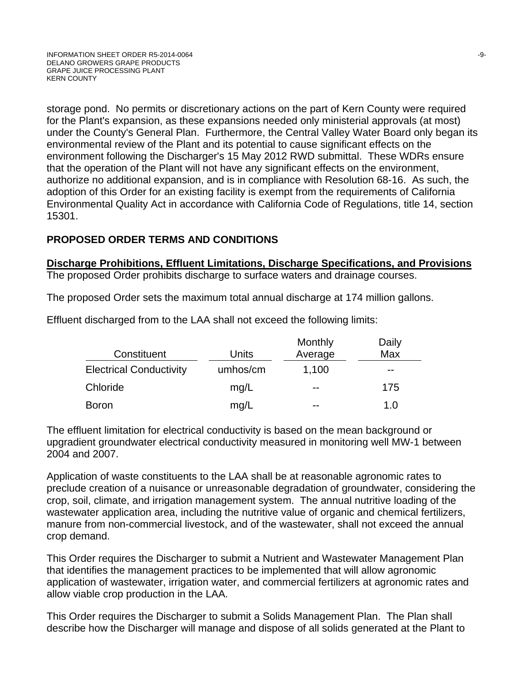storage pond. No permits or discretionary actions on the part of Kern County were required for the Plant's expansion, as these expansions needed only ministerial approvals (at most) under the County's General Plan. Furthermore, the Central Valley Water Board only began its environmental review of the Plant and its potential to cause significant effects on the environment following the Discharger's 15 May 2012 RWD submittal. These WDRs ensure that the operation of the Plant will not have any significant effects on the environment, authorize no additional expansion, and is in compliance with Resolution 68-16. As such, the adoption of this Order for an existing facility is exempt from the requirements of California Environmental Quality Act in accordance with California Code of Regulations, title 14, section 15301.

# **PROPOSED ORDER TERMS AND CONDITIONS**

# **Discharge Prohibitions, Effluent Limitations, Discharge Specifications, and Provisions**

The proposed Order prohibits discharge to surface waters and drainage courses.

The proposed Order sets the maximum total annual discharge at 174 million gallons.

Effluent discharged from to the LAA shall not exceed the following limits:

| Constituent                    | Units    | Monthly<br>Average | Daily<br>Max |
|--------------------------------|----------|--------------------|--------------|
| <b>Electrical Conductivity</b> | umhos/cm | 1,100              | $- -$        |
| Chloride                       | mq/L     | $- -$              | 175          |
| <b>Boron</b>                   | mg/L     | $- -$              | 1. $\Omega$  |

The effluent limitation for electrical conductivity is based on the mean background or upgradient groundwater electrical conductivity measured in monitoring well MW-1 between 2004 and 2007.

Application of waste constituents to the LAA shall be at reasonable agronomic rates to preclude creation of a nuisance or unreasonable degradation of groundwater, considering the crop, soil, climate, and irrigation management system. The annual nutritive loading of the wastewater application area, including the nutritive value of organic and chemical fertilizers, manure from non-commercial livestock, and of the wastewater, shall not exceed the annual crop demand.

This Order requires the Discharger to submit a Nutrient and Wastewater Management Plan that identifies the management practices to be implemented that will allow agronomic application of wastewater, irrigation water, and commercial fertilizers at agronomic rates and allow viable crop production in the LAA.

This Order requires the Discharger to submit a Solids Management Plan. The Plan shall describe how the Discharger will manage and dispose of all solids generated at the Plant to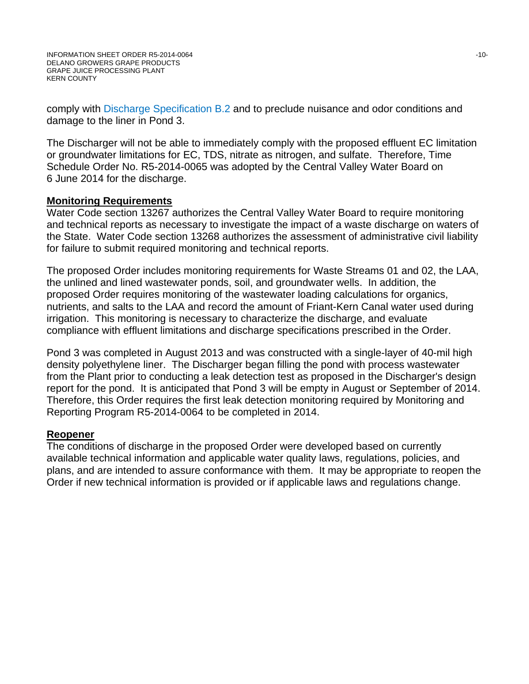comply with Discharge Specification B.2 and to preclude nuisance and odor conditions and damage to the liner in Pond 3.

The Discharger will not be able to immediately comply with the proposed effluent EC limitation or groundwater limitations for EC, TDS, nitrate as nitrogen, and sulfate. Therefore, Time Schedule Order No. R5-2014-0065 was adopted by the Central Valley Water Board on 6 June 2014 for the discharge.

#### **Monitoring Requirements**

Water Code section 13267 authorizes the Central Valley Water Board to require monitoring and technical reports as necessary to investigate the impact of a waste discharge on waters of the State. Water Code section 13268 authorizes the assessment of administrative civil liability for failure to submit required monitoring and technical reports.

The proposed Order includes monitoring requirements for Waste Streams 01 and 02, the LAA, the unlined and lined wastewater ponds, soil, and groundwater wells. In addition, the proposed Order requires monitoring of the wastewater loading calculations for organics, nutrients, and salts to the LAA and record the amount of Friant-Kern Canal water used during irrigation. This monitoring is necessary to characterize the discharge, and evaluate compliance with effluent limitations and discharge specifications prescribed in the Order.

Pond 3 was completed in August 2013 and was constructed with a single-layer of 40-mil high density polyethylene liner. The Discharger began filling the pond with process wastewater from the Plant prior to conducting a leak detection test as proposed in the Discharger's design report for the pond. It is anticipated that Pond 3 will be empty in August or September of 2014. Therefore, this Order requires the first leak detection monitoring required by Monitoring and Reporting Program R5-2014-0064 to be completed in 2014.

# **Reopener**

The conditions of discharge in the proposed Order were developed based on currently available technical information and applicable water quality laws, regulations, policies, and plans, and are intended to assure conformance with them. It may be appropriate to reopen the Order if new technical information is provided or if applicable laws and regulations change.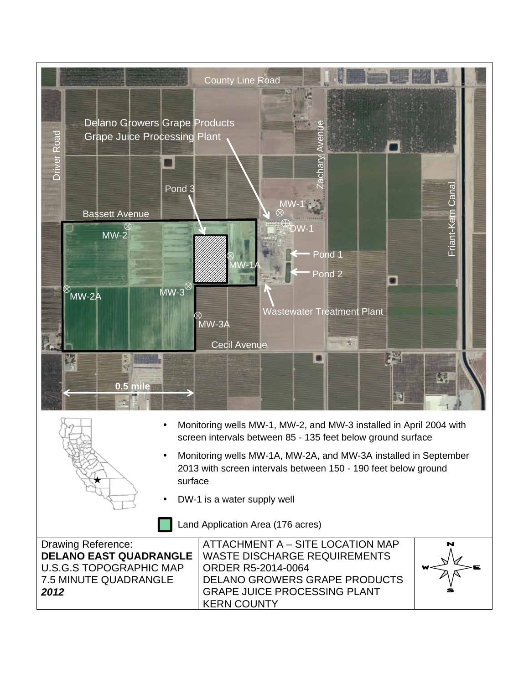